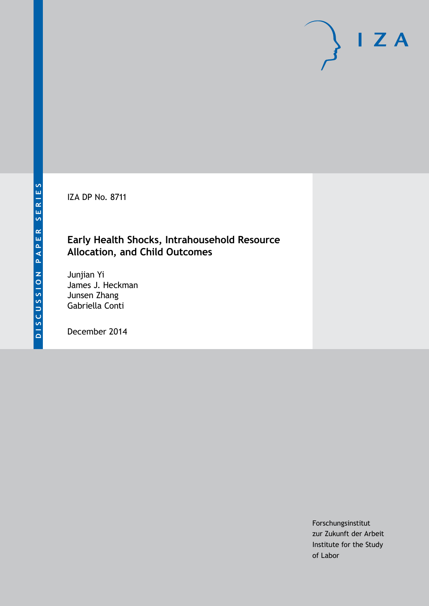IZA DP No. 8711

### **Early Health Shocks, Intrahousehold Resource Allocation, and Child Outcomes**

Junjian Yi James J. Heckman Junsen Zhang Gabriella Conti

December 2014

Forschungsinstitut zur Zukunft der Arbeit Institute for the Study of Labor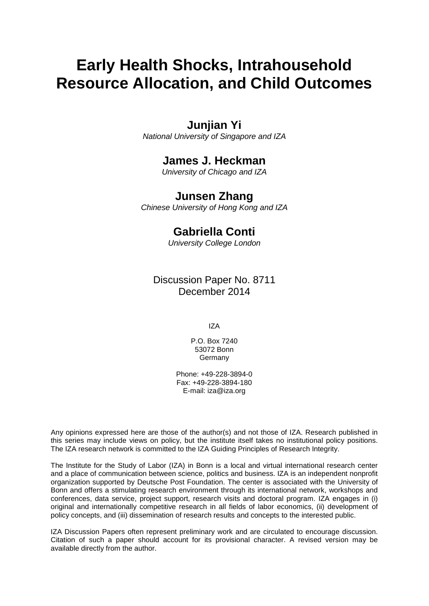# **Early Health Shocks, Intrahousehold Resource Allocation, and Child Outcomes**

### **Junjian Yi**

*National University of Singapore and IZA*

### **James J. Heckman**

*University of Chicago and IZA*

### **Junsen Zhang**

*Chinese University of Hong Kong and IZA*

### **Gabriella Conti**

*University College London*

Discussion Paper No. 8711 December 2014

IZA

P.O. Box 7240 53072 Bonn **Germany** 

Phone: +49-228-3894-0 Fax: +49-228-3894-180 E-mail: [iza@iza.org](mailto:iza@iza.org)

Any opinions expressed here are those of the author(s) and not those of IZA. Research published in this series may include views on policy, but the institute itself takes no institutional policy positions. The IZA research network is committed to the IZA Guiding Principles of Research Integrity.

The Institute for the Study of Labor (IZA) in Bonn is a local and virtual international research center and a place of communication between science, politics and business. IZA is an independent nonprofit organization supported by Deutsche Post Foundation. The center is associated with the University of Bonn and offers a stimulating research environment through its international network, workshops and conferences, data service, project support, research visits and doctoral program. IZA engages in (i) original and internationally competitive research in all fields of labor economics, (ii) development of policy concepts, and (iii) dissemination of research results and concepts to the interested public.

<span id="page-1-0"></span>IZA Discussion Papers often represent preliminary work and are circulated to encourage discussion. Citation of such a paper should account for its provisional character. A revised version may be available directly from the author.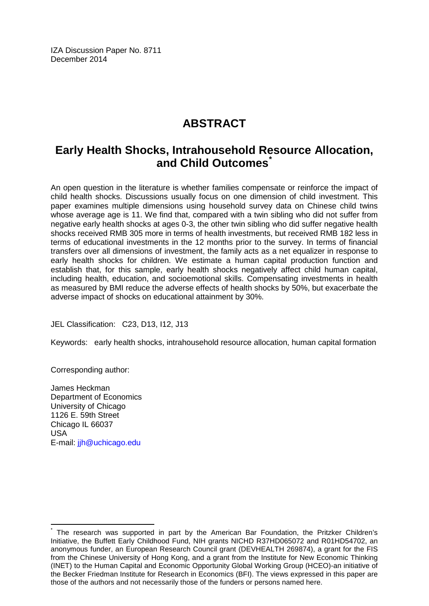IZA Discussion Paper No. 8711 December 2014

## **ABSTRACT**

## **Early Health Shocks, Intrahousehold Resource Allocation, and Child Outcomes[\\*](#page-1-0)**

An open question in the literature is whether families compensate or reinforce the impact of child health shocks. Discussions usually focus on one dimension of child investment. This paper examines multiple dimensions using household survey data on Chinese child twins whose average age is 11. We find that, compared with a twin sibling who did not suffer from negative early health shocks at ages 0-3, the other twin sibling who did suffer negative health shocks received RMB 305 more in terms of health investments, but received RMB 182 less in terms of educational investments in the 12 months prior to the survey. In terms of financial transfers over all dimensions of investment, the family acts as a net equalizer in response to early health shocks for children. We estimate a human capital production function and establish that, for this sample, early health shocks negatively affect child human capital, including health, education, and socioemotional skills. Compensating investments in health as measured by BMI reduce the adverse effects of health shocks by 50%, but exacerbate the adverse impact of shocks on educational attainment by 30%.

JEL Classification: C23, D13, I12, J13

Keywords: early health shocks, intrahousehold resource allocation, human capital formation

Corresponding author:

James Heckman Department of Economics University of Chicago 1126 E. 59th Street Chicago IL 66037 USA E-mail: [jjh@uchicago.edu](mailto:jjh@uchicago.edu)

The research was supported in part by the American Bar Foundation, the Pritzker Children's Initiative, the Buffett Early Childhood Fund, NIH grants NICHD R37HD065072 and R01HD54702, an anonymous funder, an European Research Council grant (DEVHEALTH 269874), a grant for the FIS from the Chinese University of Hong Kong, and a grant from the Institute for New Economic Thinking (INET) to the Human Capital and Economic Opportunity Global Working Group (HCEO)-an initiative of the Becker Friedman Institute for Research in Economics (BFI). The views expressed in this paper are those of the authors and not necessarily those of the funders or persons named here.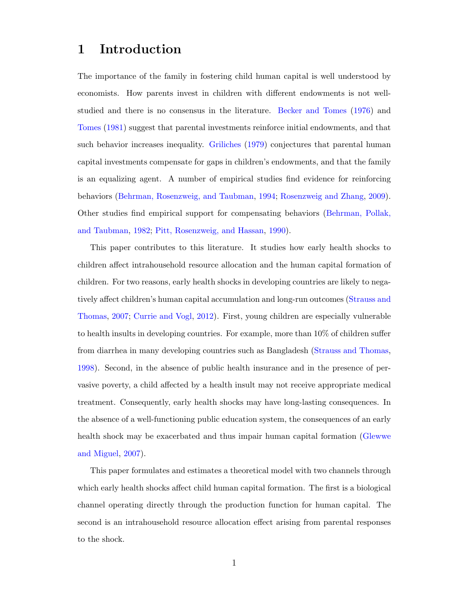### 1 Introduction

The importance of the family in fostering child human capital is well understood by economists. How parents invest in children with different endowments is not wellstudied and there is no consensus in the literature. [Becker and Tomes](#page-40-0) [\(1976\)](#page-40-0) and [Tomes](#page-43-0) [\(1981\)](#page-43-0) suggest that parental investments reinforce initial endowments, and that such behavior increases inequality. [Griliches](#page-41-0) [\(1979\)](#page-41-0) conjectures that parental human capital investments compensate for gaps in children's endowments, and that the family is an equalizing agent. A number of empirical studies find evidence for reinforcing behaviors [\(Behrman, Rosenzweig, and Taubman,](#page-40-1) [1994;](#page-40-1) [Rosenzweig and Zhang,](#page-42-0) [2009\)](#page-42-0). Other studies find empirical support for compensating behaviors [\(Behrman, Pollak,](#page-40-2) [and Taubman,](#page-40-2) [1982;](#page-40-2) [Pitt, Rosenzweig, and Hassan,](#page-42-1) [1990\)](#page-42-1).

This paper contributes to this literature. It studies how early health shocks to children affect intrahousehold resource allocation and the human capital formation of children. For two reasons, early health shocks in developing countries are likely to negatively affect children's human capital accumulation and long-run outcomes [\(Strauss and](#page-42-2) [Thomas,](#page-42-2) [2007;](#page-42-2) [Currie and Vogl,](#page-41-1) [2012\)](#page-41-1). First, young children are especially vulnerable to health insults in developing countries. For example, more than 10% of children suffer from diarrhea in many developing countries such as Bangladesh [\(Strauss and Thomas,](#page-42-3) [1998\)](#page-42-3). Second, in the absence of public health insurance and in the presence of pervasive poverty, a child affected by a health insult may not receive appropriate medical treatment. Consequently, early health shocks may have long-lasting consequences. In the absence of a well-functioning public education system, the consequences of an early health shock may be exacerbated and thus impair human capital formation [\(Glewwe](#page-41-2) [and Miguel,](#page-41-2) [2007\)](#page-41-2).

This paper formulates and estimates a theoretical model with two channels through which early health shocks affect child human capital formation. The first is a biological channel operating directly through the production function for human capital. The second is an intrahousehold resource allocation effect arising from parental responses to the shock.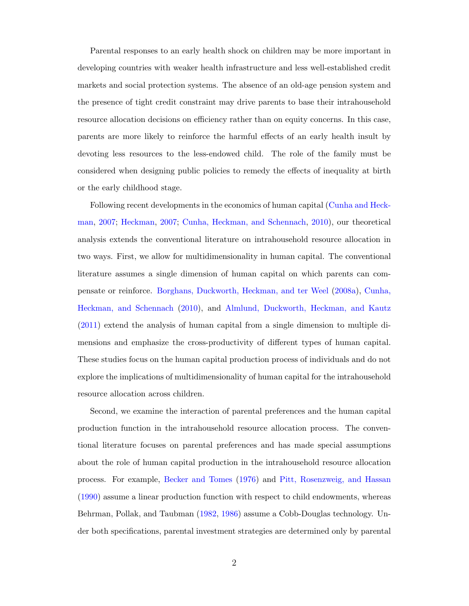Parental responses to an early health shock on children may be more important in developing countries with weaker health infrastructure and less well-established credit markets and social protection systems. The absence of an old-age pension system and the presence of tight credit constraint may drive parents to base their intrahousehold resource allocation decisions on efficiency rather than on equity concerns. In this case, parents are more likely to reinforce the harmful effects of an early health insult by devoting less resources to the less-endowed child. The role of the family must be considered when designing public policies to remedy the effects of inequality at birth or the early childhood stage.

Following recent developments in the economics of human capital [\(Cunha and Heck](#page-41-3)[man,](#page-41-3) [2007;](#page-41-3) [Heckman,](#page-42-4) [2007;](#page-42-4) [Cunha, Heckman, and Schennach,](#page-41-4) [2010\)](#page-41-4), our theoretical analysis extends the conventional literature on intrahousehold resource allocation in two ways. First, we allow for multidimensionality in human capital. The conventional literature assumes a single dimension of human capital on which parents can compensate or reinforce. [Borghans, Duckworth, Heckman, and ter Weel](#page-40-3) [\(2008a\)](#page-40-3), [Cunha,](#page-41-4) [Heckman, and Schennach](#page-41-4) [\(2010\)](#page-41-4), and [Almlund, Duckworth, Heckman, and Kautz](#page-40-4) [\(2011\)](#page-40-4) extend the analysis of human capital from a single dimension to multiple dimensions and emphasize the cross-productivity of different types of human capital. These studies focus on the human capital production process of individuals and do not explore the implications of multidimensionality of human capital for the intrahousehold resource allocation across children.

Second, we examine the interaction of parental preferences and the human capital production function in the intrahousehold resource allocation process. The conventional literature focuses on parental preferences and has made special assumptions about the role of human capital production in the intrahousehold resource allocation process. For example, [Becker and Tomes](#page-40-0) [\(1976\)](#page-40-0) and [Pitt, Rosenzweig, and Hassan](#page-42-1) [\(1990\)](#page-42-1) assume a linear production function with respect to child endowments, whereas Behrman, Pollak, and Taubman [\(1982,](#page-40-2) [1986\)](#page-40-5) assume a Cobb-Douglas technology. Under both specifications, parental investment strategies are determined only by parental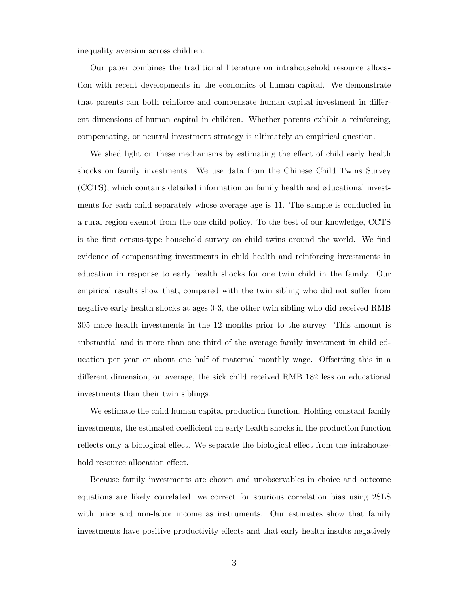inequality aversion across children.

Our paper combines the traditional literature on intrahousehold resource allocation with recent developments in the economics of human capital. We demonstrate that parents can both reinforce and compensate human capital investment in different dimensions of human capital in children. Whether parents exhibit a reinforcing, compensating, or neutral investment strategy is ultimately an empirical question.

We shed light on these mechanisms by estimating the effect of child early health shocks on family investments. We use data from the Chinese Child Twins Survey (CCTS), which contains detailed information on family health and educational investments for each child separately whose average age is 11. The sample is conducted in a rural region exempt from the one child policy. To the best of our knowledge, CCTS is the first census-type household survey on child twins around the world. We find evidence of compensating investments in child health and reinforcing investments in education in response to early health shocks for one twin child in the family. Our empirical results show that, compared with the twin sibling who did not suffer from negative early health shocks at ages 0-3, the other twin sibling who did received RMB 305 more health investments in the 12 months prior to the survey. This amount is substantial and is more than one third of the average family investment in child education per year or about one half of maternal monthly wage. Offsetting this in a different dimension, on average, the sick child received RMB 182 less on educational investments than their twin siblings.

We estimate the child human capital production function. Holding constant family investments, the estimated coefficient on early health shocks in the production function reflects only a biological effect. We separate the biological effect from the intrahousehold resource allocation effect.

Because family investments are chosen and unobservables in choice and outcome equations are likely correlated, we correct for spurious correlation bias using 2SLS with price and non-labor income as instruments. Our estimates show that family investments have positive productivity effects and that early health insults negatively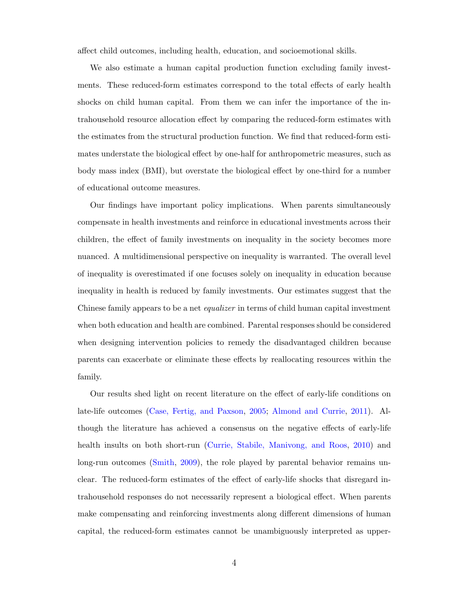affect child outcomes, including health, education, and socioemotional skills.

We also estimate a human capital production function excluding family investments. These reduced-form estimates correspond to the total effects of early health shocks on child human capital. From them we can infer the importance of the intrahousehold resource allocation effect by comparing the reduced-form estimates with the estimates from the structural production function. We find that reduced-form estimates understate the biological effect by one-half for anthropometric measures, such as body mass index (BMI), but overstate the biological effect by one-third for a number of educational outcome measures.

Our findings have important policy implications. When parents simultaneously compensate in health investments and reinforce in educational investments across their children, the effect of family investments on inequality in the society becomes more nuanced. A multidimensional perspective on inequality is warranted. The overall level of inequality is overestimated if one focuses solely on inequality in education because inequality in health is reduced by family investments. Our estimates suggest that the Chinese family appears to be a net *equalizer* in terms of child human capital investment when both education and health are combined. Parental responses should be considered when designing intervention policies to remedy the disadvantaged children because parents can exacerbate or eliminate these effects by reallocating resources within the family.

Our results shed light on recent literature on the effect of early-life conditions on late-life outcomes [\(Case, Fertig, and Paxson,](#page-41-5) [2005;](#page-41-5) [Almond and Currie,](#page-40-6) [2011\)](#page-40-6). Although the literature has achieved a consensus on the negative effects of early-life health insults on both short-run [\(Currie, Stabile, Manivong, and Roos,](#page-41-6) [2010\)](#page-41-6) and long-run outcomes [\(Smith,](#page-42-5) [2009\)](#page-42-5), the role played by parental behavior remains unclear. The reduced-form estimates of the effect of early-life shocks that disregard intrahousehold responses do not necessarily represent a biological effect. When parents make compensating and reinforcing investments along different dimensions of human capital, the reduced-form estimates cannot be unambiguously interpreted as upper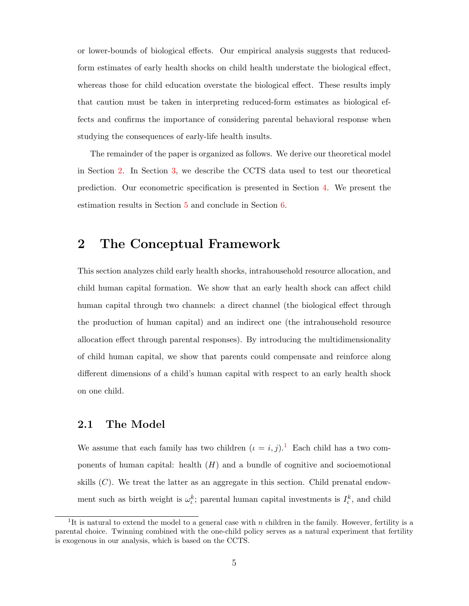or lower-bounds of biological effects. Our empirical analysis suggests that reducedform estimates of early health shocks on child health understate the biological effect, whereas those for child education overstate the biological effect. These results imply that caution must be taken in interpreting reduced-form estimates as biological effects and confirms the importance of considering parental behavioral response when studying the consequences of early-life health insults.

The remainder of the paper is organized as follows. We derive our theoretical model in Section [2.](#page-7-0) In Section [3,](#page-12-0) we describe the CCTS data used to test our theoretical prediction. Our econometric specification is presented in Section [4.](#page-17-0) We present the estimation results in Section [5](#page-21-0) and conclude in Section [6.](#page-37-0)

### <span id="page-7-0"></span>2 The Conceptual Framework

This section analyzes child early health shocks, intrahousehold resource allocation, and child human capital formation. We show that an early health shock can affect child human capital through two channels: a direct channel (the biological effect through the production of human capital) and an indirect one (the intrahousehold resource allocation effect through parental responses). By introducing the multidimensionality of child human capital, we show that parents could compensate and reinforce along different dimensions of a child's human capital with respect to an early health shock on one child.

#### 2.1 The Model

We assume that each family has two children  $(\iota = i, j)$ .<sup>[1](#page-7-1)</sup> Each child has a two components of human capital: health  $(H)$  and a bundle of cognitive and socioemotional skills  $(C)$ . We treat the latter as an aggregate in this section. Child prenatal endowment such as birth weight is  $\omega_k^k$ ; parental human capital investments is  $I_k^k$ , and child

<span id="page-7-1"></span><sup>&</sup>lt;sup>1</sup>It is natural to extend the model to a general case with n children in the family. However, fertility is a parental choice. Twinning combined with the one-child policy serves as a natural experiment that fertility is exogenous in our analysis, which is based on the CCTS.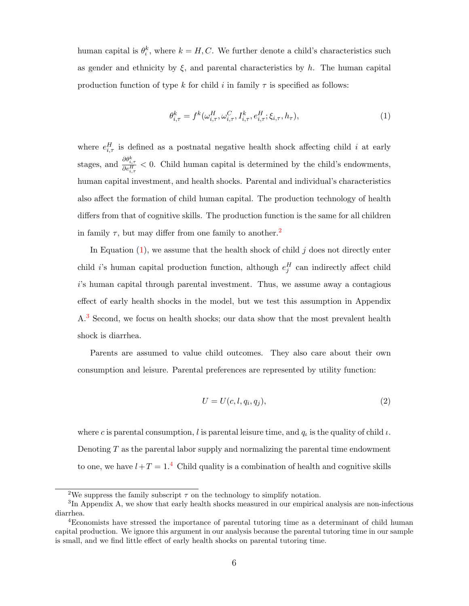human capital is  $\theta_t^k$ , where  $k = H, C$ . We further denote a child's characteristics such as gender and ethnicity by  $\xi$ , and parental characteristics by h. The human capital production function of type k for child i in family  $\tau$  is specified as follows:

<span id="page-8-1"></span>
$$
\theta_{i,\tau}^{k} = f^{k}(\omega_{i,\tau}^{H}, \omega_{i,\tau}^{C}, I_{i,\tau}^{k}, e_{i,\tau}^{H}; \xi_{i,\tau}, h_{\tau}), \tag{1}
$$

where  $e_{i,\tau}^H$  is defined as a postnatal negative health shock affecting child i at early stages, and  $\frac{\partial \theta_{i,\tau}^k}{\partial e_{i,\tau}^H}$  < 0. Child human capital is determined by the child's endowments, human capital investment, and health shocks. Parental and individual's characteristics also affect the formation of child human capital. The production technology of health differs from that of cognitive skills. The production function is the same for all children in family  $\tau$ , but may differ from one family to another.<sup>[2](#page-8-0)</sup>

In Equation  $(1)$ , we assume that the health shock of child j does not directly enter child i's human capital production function, although  $e_j^H$  can indirectly affect child i's human capital through parental investment. Thus, we assume away a contagious effect of early health shocks in the model, but we test this assumption in Appendix A.[3](#page-8-2) Second, we focus on health shocks; our data show that the most prevalent health shock is diarrhea.

Parents are assumed to value child outcomes. They also care about their own consumption and leisure. Parental preferences are represented by utility function:

<span id="page-8-4"></span>
$$
U = U(c, l, q_i, q_j),\tag{2}
$$

where c is parental consumption, l is parental leisure time, and  $q_t$  is the quality of child  $\iota$ . Denoting  $T$  as the parental labor supply and normalizing the parental time endowment to one, we have  $l+T=1$ .<sup>[4](#page-8-3)</sup> Child quality is a combination of health and cognitive skills

<span id="page-8-2"></span><span id="page-8-0"></span><sup>&</sup>lt;sup>2</sup>We suppress the family subscript  $\tau$  on the technology to simplify notation.

<sup>&</sup>lt;sup>3</sup>In Appendix A, we show that early health shocks measured in our empirical analysis are non-infectious diarrhea.

<span id="page-8-3"></span><sup>4</sup>Economists have stressed the importance of parental tutoring time as a determinant of child human capital production. We ignore this argument in our analysis because the parental tutoring time in our sample is small, and we find little effect of early health shocks on parental tutoring time.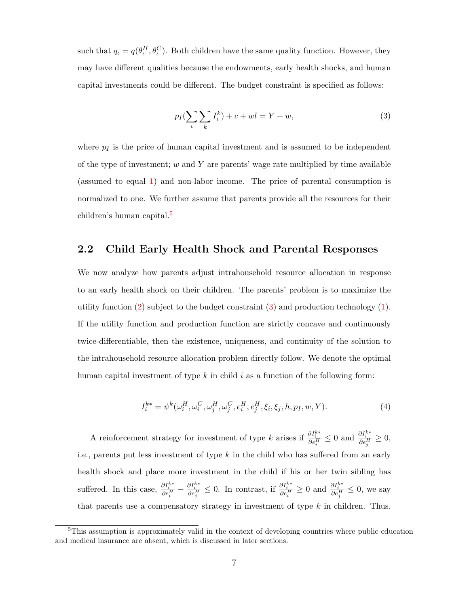such that  $q_t = q(\theta_t^H, \theta_t^C)$ . Both children have the same quality function. However, they may have different qualities because the endowments, early health shocks, and human capital investments could be different. The budget constraint is specified as follows:

<span id="page-9-1"></span>
$$
p_I(\sum_{\iota} \sum_{k} I_{\iota}^k) + c + wI = Y + w,\tag{3}
$$

where  $p_I$  is the price of human capital investment and is assumed to be independent of the type of investment;  $w$  and  $Y$  are parents' wage rate multiplied by time available (assumed to equal [1\)](#page-8-1) and non-labor income. The price of parental consumption is normalized to one. We further assume that parents provide all the resources for their children's human capital.[5](#page-9-0)

#### 2.2 Child Early Health Shock and Parental Responses

We now analyze how parents adjust intrahousehold resource allocation in response to an early health shock on their children. The parents' problem is to maximize the utility function  $(2)$  subject to the budget constraint  $(3)$  and production technology  $(1)$ . If the utility function and production function are strictly concave and continuously twice-differentiable, then the existence, uniqueness, and continuity of the solution to the intrahousehold resource allocation problem directly follow. We denote the optimal human capital investment of type k in child i as a function of the following form:

<span id="page-9-2"></span>
$$
I_i^{k*} = \psi^k(\omega_i^H, \omega_i^C, \omega_j^H, \omega_j^C, e_i^H, e_j^H, \xi_i, \xi_j, h, p_I, w, Y).
$$
\n(4)

A reinforcement strategy for investment of type k arises if  $\frac{\partial I_i^{k*}}{\partial e_i^H}$  ≤ 0 and  $\frac{\partial I_i^{k*}}{\partial e_j^H}$  ≥ 0, i.e., parents put less investment of type  $k$  in the child who has suffered from an early health shock and place more investment in the child if his or her twin sibling has suffered. In this case,  $\frac{\partial I_i^{k*}}{\partial e_i^H} - \frac{\partial I_i^{k*}}{\partial e_j^H} \leq 0$ . In contrast, if  $\frac{\partial I_i^{k*}}{\partial e_i^H} \geq 0$  and  $\frac{\partial I_i^{k*}}{\partial e_j^H} \leq 0$ , we say that parents use a compensatory strategy in investment of type  $k$  in children. Thus,

<span id="page-9-0"></span><sup>&</sup>lt;sup>5</sup>This assumption is approximately valid in the context of developing countries where public education and medical insurance are absent, which is discussed in later sections.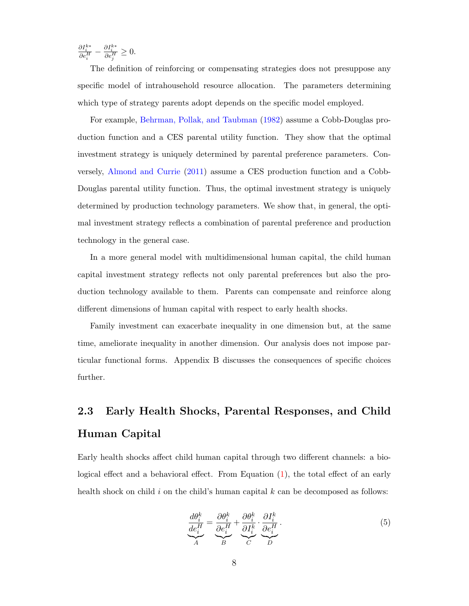$\frac{\partial I_i^{k*}}{\partial e_i^H} - \frac{\partial I_i^{k*}}{\partial e_j^H} \geq 0.$ 

The definition of reinforcing or compensating strategies does not presuppose any specific model of intrahousehold resource allocation. The parameters determining which type of strategy parents adopt depends on the specific model employed.

For example, [Behrman, Pollak, and Taubman](#page-40-2) [\(1982\)](#page-40-2) assume a Cobb-Douglas production function and a CES parental utility function. They show that the optimal investment strategy is uniquely determined by parental preference parameters. Conversely, [Almond and Currie](#page-40-6) [\(2011\)](#page-40-6) assume a CES production function and a Cobb-Douglas parental utility function. Thus, the optimal investment strategy is uniquely determined by production technology parameters. We show that, in general, the optimal investment strategy reflects a combination of parental preference and production technology in the general case.

In a more general model with multidimensional human capital, the child human capital investment strategy reflects not only parental preferences but also the production technology available to them. Parents can compensate and reinforce along different dimensions of human capital with respect to early health shocks.

Family investment can exacerbate inequality in one dimension but, at the same time, ameliorate inequality in another dimension. Our analysis does not impose particular functional forms. Appendix B discusses the consequences of specific choices further.

## 2.3 Early Health Shocks, Parental Responses, and Child Human Capital

Early health shocks affect child human capital through two different channels: a biological effect and a behavioral effect. From Equation [\(1\)](#page-8-1), the total effect of an early health shock on child  $i$  on the child's human capital  $k$  can be decomposed as follows:

<span id="page-10-0"></span>
$$
\underbrace{\frac{d\theta_i^k}{de_i^H}}_{A} = \underbrace{\frac{\partial\theta_i^k}{\partial e_i^H}}_{B} + \underbrace{\frac{\partial\theta_i^k}{\partial I_i^k}}_{C} \cdot \underbrace{\frac{\partial I_i^k}{\partial e_i^H}}_{D}.
$$
\n(5)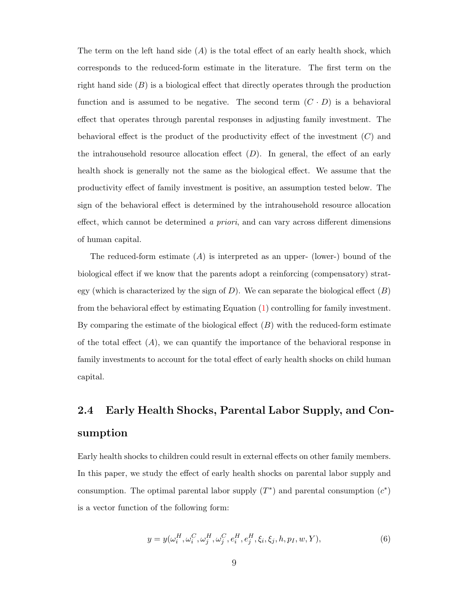The term on the left hand side  $(A)$  is the total effect of an early health shock, which corresponds to the reduced-form estimate in the literature. The first term on the right hand side  $(B)$  is a biological effect that directly operates through the production function and is assumed to be negative. The second term  $(C \cdot D)$  is a behavioral effect that operates through parental responses in adjusting family investment. The behavioral effect is the product of the productivity effect of the investment  $(C)$  and the intrahousehold resource allocation effect  $(D)$ . In general, the effect of an early health shock is generally not the same as the biological effect. We assume that the productivity effect of family investment is positive, an assumption tested below. The sign of the behavioral effect is determined by the intrahousehold resource allocation effect, which cannot be determined a priori, and can vary across different dimensions of human capital.

The reduced-form estimate  $(A)$  is interpreted as an upper- (lower-) bound of the biological effect if we know that the parents adopt a reinforcing (compensatory) strategy (which is characterized by the sign of  $D$ ). We can separate the biological effect  $(B)$ from the behavioral effect by estimating Equation [\(1\)](#page-8-1) controlling for family investment. By comparing the estimate of the biological effect  $(B)$  with the reduced-form estimate of the total effect  $(A)$ , we can quantify the importance of the behavioral response in family investments to account for the total effect of early health shocks on child human capital.

# 2.4 Early Health Shocks, Parental Labor Supply, and Consumption

Early health shocks to children could result in external effects on other family members. In this paper, we study the effect of early health shocks on parental labor supply and consumption. The optimal parental labor supply  $(T^*)$  and parental consumption  $(c^*)$ is a vector function of the following form:

<span id="page-11-0"></span>
$$
y = y(\omega_i^H, \omega_i^C, \omega_j^H, \omega_j^C, e_i^H, e_j^H, \xi_i, \xi_j, h, p_I, w, Y),
$$
\n(6)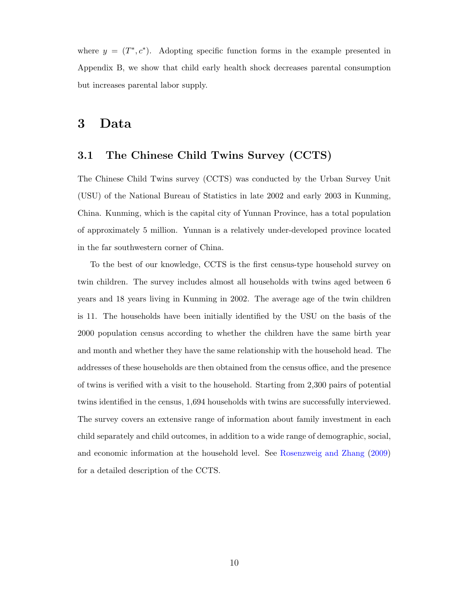where  $y = (T^*, c^*)$ . Adopting specific function forms in the example presented in Appendix B, we show that child early health shock decreases parental consumption but increases parental labor supply.

### <span id="page-12-0"></span>3 Data

#### 3.1 The Chinese Child Twins Survey (CCTS)

The Chinese Child Twins survey (CCTS) was conducted by the Urban Survey Unit (USU) of the National Bureau of Statistics in late 2002 and early 2003 in Kunming, China. Kunming, which is the capital city of Yunnan Province, has a total population of approximately 5 million. Yunnan is a relatively under-developed province located in the far southwestern corner of China.

To the best of our knowledge, CCTS is the first census-type household survey on twin children. The survey includes almost all households with twins aged between 6 years and 18 years living in Kunming in 2002. The average age of the twin children is 11. The households have been initially identified by the USU on the basis of the 2000 population census according to whether the children have the same birth year and month and whether they have the same relationship with the household head. The addresses of these households are then obtained from the census office, and the presence of twins is verified with a visit to the household. Starting from 2,300 pairs of potential twins identified in the census, 1,694 households with twins are successfully interviewed. The survey covers an extensive range of information about family investment in each child separately and child outcomes, in addition to a wide range of demographic, social, and economic information at the household level. See [Rosenzweig and Zhang](#page-42-0) [\(2009\)](#page-42-0) for a detailed description of the CCTS.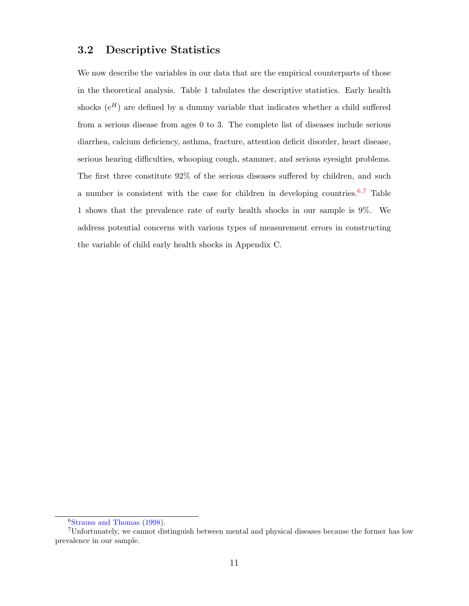#### 3.2 Descriptive Statistics

We now describe the variables in our data that are the empirical counterparts of those in the theoretical analysis. Table 1 tabulates the descriptive statistics. Early health shocks  $(e^H)$  are defined by a dummy variable that indicates whether a child suffered from a serious disease from ages 0 to 3. The complete list of diseases include serious diarrhea, calcium deficiency, asthma, fracture, attention deficit disorder, heart disease, serious hearing difficulties, whooping cough, stammer, and serious eyesight problems. The first three constitute 92% of the serious diseases suffered by children, and such a number is consistent with the case for children in developing countries.<sup>[6](#page-13-0),[7](#page-13-1)</sup> Table 1 shows that the prevalence rate of early health shocks in our sample is 9%. We address potential concerns with various types of measurement errors in constructing the variable of child early health shocks in Appendix C.

<span id="page-13-1"></span><span id="page-13-0"></span><sup>6</sup>[Strauss and Thomas](#page-42-3) [\(1998\)](#page-42-3).

<sup>7</sup>Unfortunately, we cannot distinguish between mental and physical diseases because the former has low prevalence in our sample.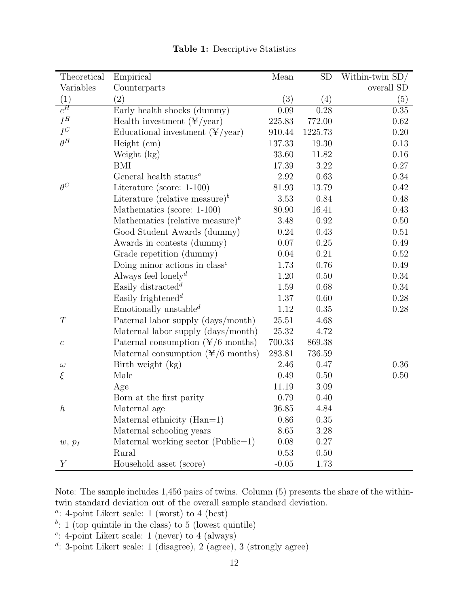| Theoretical      | Empirical                                         | Mean      | ${\rm SD}$ | Within-twin SD/ |
|------------------|---------------------------------------------------|-----------|------------|-----------------|
| Variables        | Counterparts                                      |           |            | overall SD      |
| (1)              | (2)                                               | (3)       | (4)        | (5)             |
| $e^H$            | Early health shocks (dummy)                       | 0.09      | 0.28       | $0.35\,$        |
| ${\cal I}^H$     | Health investment $(\frac{4}{x})$ year)           | 225.83    | 772.00     | 0.62            |
| $I^C$            | Educational investment $(\frac{4}{x})$ year)      | 910.44    | 1225.73    | $0.20\,$        |
| $\theta^H$       | Height (cm)                                       | 137.33    | 19.30      | 0.13            |
|                  | Weight (kg)                                       | 33.60     | 11.82      | $0.16\,$        |
|                  | BMI                                               | 17.39     | 3.22       | $0.27\,$        |
|                  | General health status $^a$                        | 2.92      | 0.63       | 0.34            |
| $\theta^C$       | Literature (score: $1-100$ )                      | 81.93     | 13.79      | 0.42            |
|                  | Literature (relative measure) <sup>b</sup>        | 3.53      | 0.84       | 0.48            |
|                  | Mathematics (score: 1-100)                        | 80.90     | 16.41      | 0.43            |
|                  | Mathematics (relative measure) <sup>b</sup>       | 3.48      | 0.92       | 0.50            |
|                  | Good Student Awards (dummy)                       | 0.24      | 0.43       | 0.51            |
|                  | Awards in contests (dummy)                        | $0.07\,$  | 0.25       | 0.49            |
|                  | Grade repetition (dummy)                          | 0.04      | 0.21       | 0.52            |
|                  | Doing minor actions in $class^c$                  | 1.73      | 0.76       | 0.49            |
|                  | Always feel lonely <sup><math>d</math></sup>      | 1.20      | 0.50       | 0.34            |
|                  | Easily distracted <sup>d</sup>                    | 1.59      | 0.68       | 0.34            |
|                  | Easily frightened <sup><math>d</math></sup>       | $1.37\,$  | 0.60       | $0.28\,$        |
|                  | Emotionally unstable <sup><math>d</math></sup>    | 1.12      | 0.35       | $0.28\,$        |
| T                | Paternal labor supply (days/month)                | 25.51     | 4.68       |                 |
|                  | Maternal labor supply (days/month)                | 25.32     | 4.72       |                 |
| $\boldsymbol{c}$ | Paternal consumption $(\frac{\pi}{6})$ months)    | 700.33    | 869.38     |                 |
|                  | Maternal consumption $(\frac{\gamma}{6})$ months) | 283.81    | 736.59     |                 |
| $\omega$         | Birth weight (kg)                                 | 2.46      | 0.47       | 0.36            |
| $\xi$            | Male                                              | 0.49      | 0.50       | 0.50            |
|                  | Age                                               | 11.19     | 3.09       |                 |
|                  | Born at the first parity                          | 0.79      | 0.40       |                 |
| $\boldsymbol{h}$ | Maternal age                                      | $36.85\,$ | 4.84       |                 |
|                  | Maternal ethnicity $(Han=1)$                      | 0.86      | 0.35       |                 |
|                  | Maternal schooling years                          | 8.65      | 3.28       |                 |
| $w, p_I$         | Maternal working sector $(Public=1)$              | 0.08      | 0.27       |                 |
|                  | Rural                                             | 0.53      | 0.50       |                 |
| $\boldsymbol{Y}$ | Household asset (score)                           | $-0.05$   | 1.73       |                 |

Table 1: Descriptive Statistics

Note: The sample includes 1,456 pairs of twins. Column (5) presents the share of the withintwin standard deviation out of the overall sample standard deviation.

- <sup>a</sup>: 4-point Likert scale: 1 (worst) to 4 (best)
- $b: 1$  (top quintile in the class) to 5 (lowest quintile)
- $c:$  4-point Likert scale: 1 (never) to 4 (always)
- d : 3-point Likert scale: 1 (disagree), 2 (agree), 3 (strongly agree)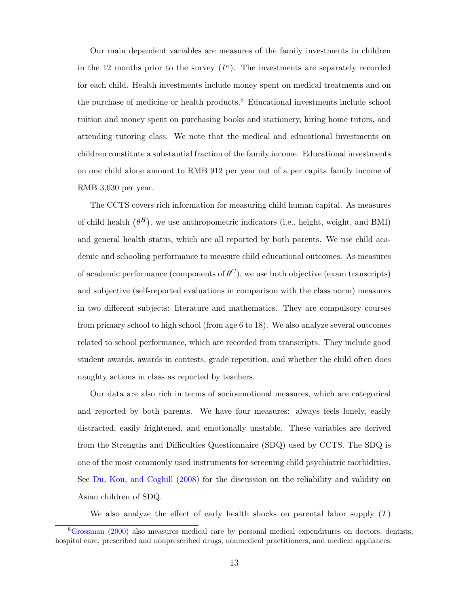Our main dependent variables are measures of the family investments in children in the 12 months prior to the survey  $(I^{\kappa})$ . The investments are separately recorded for each child. Health investments include money spent on medical treatments and on the purchase of medicine or health products.<sup>[8](#page-15-0)</sup> Educational investments include school tuition and money spent on purchasing books and stationery, hiring home tutors, and attending tutoring class. We note that the medical and educational investments on children constitute a substantial fraction of the family income. Educational investments on one child alone amount to RMB 912 per year out of a per capita family income of RMB 3,030 per year.

The CCTS covers rich information for measuring child human capital. As measures of child health  $(\theta^H)$ , we use anthropometric indicators (i.e., height, weight, and BMI) and general health status, which are all reported by both parents. We use child academic and schooling performance to measure child educational outcomes. As measures of academic performance (components of  $\theta^C$ ), we use both objective (exam transcripts) and subjective (self-reported evaluations in comparison with the class norm) measures in two different subjects: literature and mathematics. They are compulsory courses from primary school to high school (from age 6 to 18). We also analyze several outcomes related to school performance, which are recorded from transcripts. They include good student awards, awards in contests, grade repetition, and whether the child often does naughty actions in class as reported by teachers.

Our data are also rich in terms of socioemotional measures, which are categorical and reported by both parents. We have four measures: always feels lonely, easily distracted, easily frightened, and emotionally unstable. These variables are derived from the Strengths and Difficulties Questionnaire (SDQ) used by CCTS. The SDQ is one of the most commonly used instruments for screening child psychiatric morbidities. See [Du, Kou, and Coghill](#page-41-7) [\(2008\)](#page-41-7) for the discussion on the reliability and validity on Asian children of SDQ.

We also analyze the effect of early health shocks on parental labor supply  $(T)$ 

<span id="page-15-0"></span><sup>8</sup>[Grossman](#page-41-8) [\(2000\)](#page-41-8) also measures medical care by personal medical expenditures on doctors, dentists, hospital care, prescribed and nonprescribed drugs, nonmedical practitioners, and medical appliances.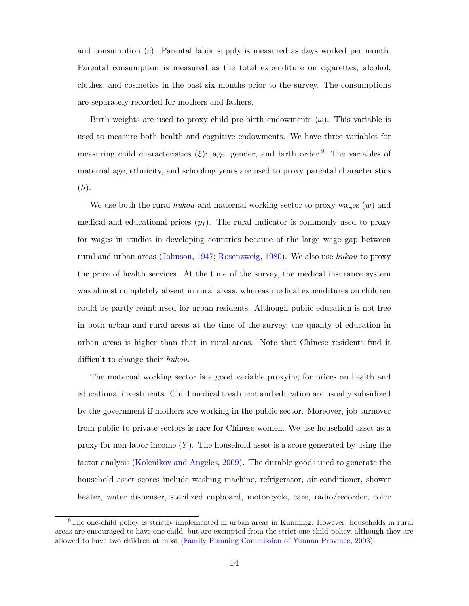and consumption  $(c)$ . Parental labor supply is measured as days worked per month. Parental consumption is measured as the total expenditure on cigarettes, alcohol, clothes, and cosmetics in the past six months prior to the survey. The consumptions are separately recorded for mothers and fathers.

Birth weights are used to proxy child pre-birth endowments  $(\omega)$ . This variable is used to measure both health and cognitive endowments. We have three variables for measuring child characteristics (ξ): age, gender, and birth order.<sup>[9](#page-16-0)</sup> The variables of maternal age, ethnicity, and schooling years are used to proxy parental characteristics  $(h).$ 

We use both the rural hukou and maternal working sector to proxy wages  $(w)$  and medical and educational prices  $(p<sub>I</sub>)$ . The rural indicator is commonly used to proxy for wages in studies in developing countries because of the large wage gap between rural and urban areas [\(Johnson,](#page-42-6) [1947;](#page-42-6) [Rosenzweig,](#page-42-7) [1980\)](#page-42-7). We also use hukou to proxy the price of health services. At the time of the survey, the medical insurance system was almost completely absent in rural areas, whereas medical expenditures on children could be partly reimbursed for urban residents. Although public education is not free in both urban and rural areas at the time of the survey, the quality of education in urban areas is higher than that in rural areas. Note that Chinese residents find it difficult to change their hukou.

The maternal working sector is a good variable proxying for prices on health and educational investments. Child medical treatment and education are usually subsidized by the government if mothers are working in the public sector. Moreover, job turnover from public to private sectors is rare for Chinese women. We use household asset as a proxy for non-labor income  $(Y)$ . The household asset is a score generated by using the factor analysis [\(Kolenikov and Angeles,](#page-42-8) [2009\)](#page-42-8). The durable goods used to generate the household asset scores include washing machine, refrigerator, air-conditioner, shower heater, water dispenser, sterilized cupboard, motorcycle, care, radio/recorder, color

<span id="page-16-0"></span><sup>9</sup>The one-child policy is strictly implemented in urban areas in Kunming. However, households in rural areas are encouraged to have one child, but are exempted from the strict one-child policy, although they are allowed to have two children at most [\(Family Planning Commission of Yunnan Province,](#page-41-9) [2003\)](#page-41-9).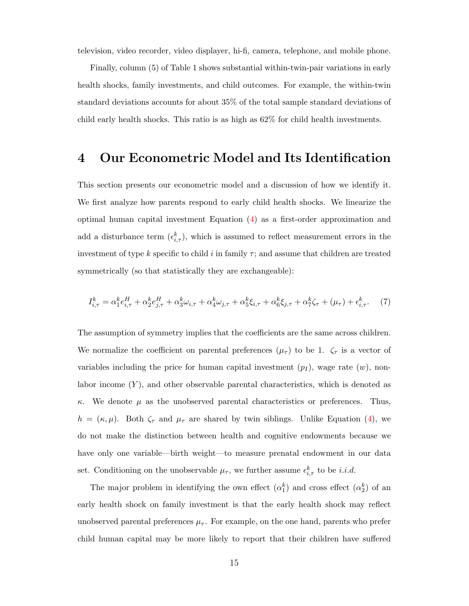television, video recorder, video displayer, hi-fi, camera, telephone, and mobile phone.

Finally, column (5) of Table 1 shows substantial within-twin-pair variations in early health shocks, family investments, and child outcomes. For example, the within-twin standard deviations accounts for about 35% of the total sample standard deviations of child early health shocks. This ratio is as high as 62% for child health investments.

### <span id="page-17-0"></span>4 Our Econometric Model and Its Identification

This section presents our econometric model and a discussion of how we identify it. We first analyze how parents respond to early child health shocks. We linearize the optimal human capital investment Equation [\(4\)](#page-9-2) as a first-order approximation and add a disturbance term  $(\epsilon_{i,\tau}^k)$ , which is assumed to reflect measurement errors in the investment of type k specific to child i in family  $\tau$ ; and assume that children are treated symmetrically (so that statistically they are exchangeable):

<span id="page-17-1"></span>
$$
I_{i,\tau}^k = \alpha_1^k e_{i,\tau}^H + \alpha_2^k e_{j,\tau}^H + \alpha_3^k \omega_{i,\tau} + \alpha_4^k \omega_{j,\tau} + \alpha_5^k \xi_{i,\tau} + \alpha_6^k \xi_{j,\tau} + \alpha_7^k \zeta_\tau + (\mu_\tau) + \epsilon_{i,\tau}^k. \tag{7}
$$

The assumption of symmetry implies that the coefficients are the same across children. We normalize the coefficient on parental preferences  $(\mu_{\tau})$  to be 1.  $\zeta_{\tau}$  is a vector of variables including the price for human capital investment  $(p_1)$ , wage rate  $(w)$ , nonlabor income  $(Y)$ , and other observable parental characteristics, which is denoted as κ. We denote  $\mu$  as the unobserved parental characteristics or preferences. Thus,  $h = (\kappa, \mu)$ . Both  $\zeta_{\tau}$  and  $\mu_{\tau}$  are shared by twin siblings. Unlike Equation [\(4\)](#page-9-2), we do not make the distinction between health and cognitive endowments because we have only one variable—birth weight—to measure prenatal endowment in our data set. Conditioning on the unobservable  $\mu_{\tau}$ , we further assume  $\epsilon_{i,\tau}^k$  to be *i.i.d.* 

The major problem in identifying the own effect  $(\alpha_1^k)$  and cross effect  $(\alpha_2^k)$  of an early health shock on family investment is that the early health shock may reflect unobserved parental preferences  $\mu_{\tau}$ . For example, on the one hand, parents who prefer child human capital may be more likely to report that their children have suffered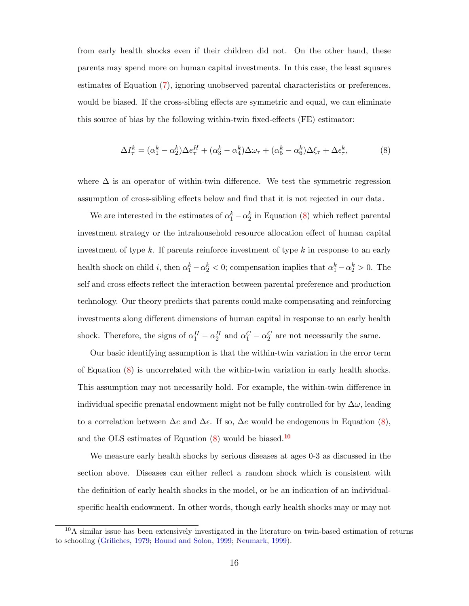from early health shocks even if their children did not. On the other hand, these parents may spend more on human capital investments. In this case, the least squares estimates of Equation [\(7\)](#page-17-1), ignoring unobserved parental characteristics or preferences, would be biased. If the cross-sibling effects are symmetric and equal, we can eliminate this source of bias by the following within-twin fixed-effects (FE) estimator:

<span id="page-18-0"></span>
$$
\Delta I^k_\tau = (\alpha^k_1 - \alpha^k_2) \Delta e^H_\tau + (\alpha^k_3 - \alpha^k_4) \Delta \omega_\tau + (\alpha^k_5 - \alpha^k_6) \Delta \xi_\tau + \Delta \epsilon^k_\tau, \tag{8}
$$

where  $\Delta$  is an operator of within-twin difference. We test the symmetric regression assumption of cross-sibling effects below and find that it is not rejected in our data.

We are interested in the estimates of  $\alpha_1^k - \alpha_2^k$  in Equation [\(8\)](#page-18-0) which reflect parental investment strategy or the intrahousehold resource allocation effect of human capital investment of type k. If parents reinforce investment of type k in response to an early health shock on child *i*, then  $\alpha_1^k - \alpha_2^k < 0$ ; compensation implies that  $\alpha_1^k - \alpha_2^k > 0$ . The self and cross effects reflect the interaction between parental preference and production technology. Our theory predicts that parents could make compensating and reinforcing investments along different dimensions of human capital in response to an early health shock. Therefore, the signs of  $\alpha_1^H - \alpha_2^H$  and  $\alpha_1^C - \alpha_2^C$  are not necessarily the same.

Our basic identifying assumption is that the within-twin variation in the error term of Equation [\(8\)](#page-18-0) is uncorrelated with the within-twin variation in early health shocks. This assumption may not necessarily hold. For example, the within-twin difference in individual specific prenatal endowment might not be fully controlled for by  $\Delta\omega$ , leading to a correlation between  $\Delta e$  and  $\Delta \epsilon$ . If so,  $\Delta e$  would be endogenous in Equation [\(8\)](#page-18-0), and the OLS estimates of Equation  $(8)$  would be biased.<sup>[10](#page-18-1)</sup>

We measure early health shocks by serious diseases at ages 0-3 as discussed in the section above. Diseases can either reflect a random shock which is consistent with the definition of early health shocks in the model, or be an indication of an individualspecific health endowment. In other words, though early health shocks may or may not

<span id="page-18-1"></span> $10$ A similar issue has been extensively investigated in the literature on twin-based estimation of returns to schooling [\(Griliches,](#page-41-0) [1979;](#page-41-0) [Bound and Solon,](#page-40-7) [1999;](#page-40-7) [Neumark,](#page-42-9) [1999\)](#page-42-9).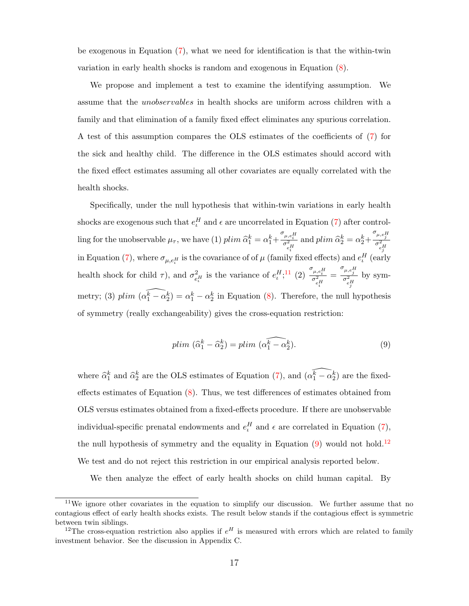be exogenous in Equation [\(7\)](#page-17-1), what we need for identification is that the within-twin variation in early health shocks is random and exogenous in Equation [\(8\)](#page-18-0).

We propose and implement a test to examine the identifying assumption. We assume that the unobservables in health shocks are uniform across children with a family and that elimination of a family fixed effect eliminates any spurious correlation. A test of this assumption compares the OLS estimates of the coefficients of [\(7\)](#page-17-1) for the sick and healthy child. The difference in the OLS estimates should accord with the fixed effect estimates assuming all other covariates are equally correlated with the health shocks.

Specifically, under the null hypothesis that within-twin variations in early health shocks are exogenous such that  $e_t^H$  and  $\epsilon$  are uncorrelated in Equation [\(7\)](#page-17-1) after controlling for the unobservable  $\mu_{\tau}$ , we have (1)  $plim \hat{\alpha}_1^k = \alpha_1^k + \frac{\sigma_{\mu,e_i^H}^2}{\sigma_{e_i^H}^2}$  and  $plim \hat{\alpha}_2^k = \alpha_2^k +$  $\frac{\sigma_{\mu,e_j^H}}{\sigma_{e_H^H}^2}$ in Equation [\(7\)](#page-17-1), where  $\sigma_{\mu, e_i^H}$  is the covariance of of  $\mu$  (family fixed effects) and  $e_i^H$  (early health shock for child  $\tau$ ), and  $\sigma_{e_l}^2$  is the variance of  $e_l^H$ ;<sup>[11](#page-19-0)</sup> (2)  $\frac{\sigma_{\mu,e_l}H}{\sigma_{e_l}^2}$ metry; (3)  $plim \left( \widehat{\alpha_1^k - \alpha_2^k} \right) = \alpha_1^k - \alpha_2^k$  in Equation [\(8\)](#page-18-0). Therefore, the null hypothesis =  $\frac{\sigma_{\mu,e_f^H}}{\sigma_{e_f^H}^2}$ by symof symmetry (really exchangeability) gives the cross-equation restriction:

<span id="page-19-1"></span>
$$
plim\ (\widehat{\alpha}_1^k - \widehat{\alpha}_2^k) = plim\ (\widehat{\alpha_1^k - \alpha_2^k}).\tag{9}
$$

where  $\hat{\alpha}_1^k$  and  $\hat{\alpha}_2^k$  are the OLS estimates of Equation [\(7\)](#page-17-1), and  $(\widehat{\alpha}_1^k - \widehat{\alpha}_2^k)$  are the fixedeffects estimates of Equation [\(8\)](#page-18-0). Thus, we test differences of estimates obtained from OLS versus estimates obtained from a fixed-effects procedure. If there are unobservable individual-specific prenatal endowments and  $e_t^H$  and  $\epsilon$  are correlated in Equation [\(7\)](#page-17-1), the null hypothesis of symmetry and the equality in Equation  $(9)$  would not hold.<sup>[12](#page-19-2)</sup> We test and do not reject this restriction in our empirical analysis reported below.

We then analyze the effect of early health shocks on child human capital. By

<span id="page-19-0"></span><sup>&</sup>lt;sup>11</sup>We ignore other covariates in the equation to simplify our discussion. We further assume that no contagious effect of early health shocks exists. The result below stands if the contagious effect is symmetric between twin siblings.

<span id="page-19-2"></span><sup>&</sup>lt;sup>12</sup>The cross-equation restriction also applies if  $e^H$  is measured with errors which are related to family investment behavior. See the discussion in Appendix C.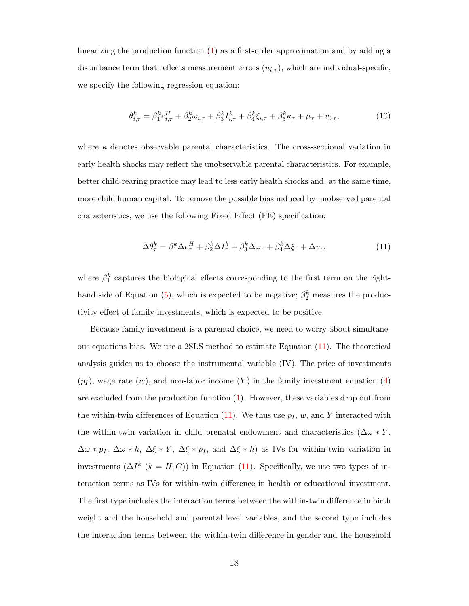linearizing the production function  $(1)$  as a first-order approximation and by adding a disturbance term that reflects measurement errors  $(u_{i,\tau})$ , which are individual-specific, we specify the following regression equation:

$$
\theta_{i,\tau}^{k} = \beta_{1}^{k} e_{i,\tau}^{H} + \beta_{2}^{k} \omega_{i,\tau} + \beta_{3}^{k} I_{i,\tau}^{k} + \beta_{4}^{k} \xi_{i,\tau} + \beta_{5}^{k} \kappa_{\tau} + \mu_{\tau} + \upsilon_{i,\tau},
$$
(10)

where  $\kappa$  denotes observable parental characteristics. The cross-sectional variation in early health shocks may reflect the unobservable parental characteristics. For example, better child-rearing practice may lead to less early health shocks and, at the same time, more child human capital. To remove the possible bias induced by unobserved parental characteristics, we use the following Fixed Effect (FE) specification:

<span id="page-20-0"></span>
$$
\Delta \theta_{\tau}^{k} = \beta_{1}^{k} \Delta e_{\tau}^{H} + \beta_{2}^{k} \Delta I_{\tau}^{k} + \beta_{3}^{k} \Delta \omega_{\tau} + \beta_{4}^{k} \Delta \xi_{\tau} + \Delta v_{\tau}, \tag{11}
$$

where  $\beta_1^k$  captures the biological effects corresponding to the first term on the right-hand side of Equation [\(5\)](#page-10-0), which is expected to be negative;  $\beta_2^k$  measures the productivity effect of family investments, which is expected to be positive.

Because family investment is a parental choice, we need to worry about simultaneous equations bias. We use a 2SLS method to estimate Equation [\(11\)](#page-20-0). The theoretical analysis guides us to choose the instrumental variable (IV). The price of investments  $(p_I)$ , wage rate  $(w)$ , and non-labor income  $(Y)$  in the family investment equation  $(4)$ are excluded from the production function [\(1\)](#page-8-1). However, these variables drop out from the within-twin differences of Equation [\(11\)](#page-20-0). We thus use  $p_I, w$ , and Y interacted with the within-twin variation in child prenatal endowment and characteristics ( $\Delta \omega * Y$ ,  $\Delta \omega * p_I$ ,  $\Delta \omega * h$ ,  $\Delta \xi * Y$ ,  $\Delta \xi * p_I$ , and  $\Delta \xi * h$ ) as IVs for within-twin variation in investments  $(\Delta I^k$   $(k = H, C))$  in Equation [\(11\)](#page-20-0). Specifically, we use two types of interaction terms as IVs for within-twin difference in health or educational investment. The first type includes the interaction terms between the within-twin difference in birth weight and the household and parental level variables, and the second type includes the interaction terms between the within-twin difference in gender and the household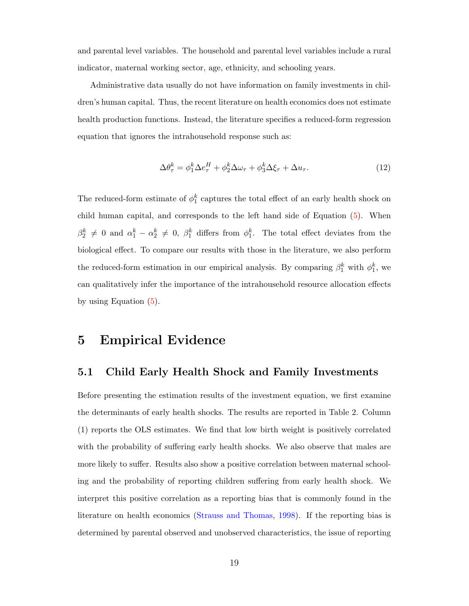and parental level variables. The household and parental level variables include a rural indicator, maternal working sector, age, ethnicity, and schooling years.

Administrative data usually do not have information on family investments in children's human capital. Thus, the recent literature on health economics does not estimate health production functions. Instead, the literature specifies a reduced-form regression equation that ignores the intrahousehold response such as:

<span id="page-21-1"></span>
$$
\Delta \theta_{\tau}^{k} = \phi_{1}^{k} \Delta e_{\tau}^{H} + \phi_{2}^{k} \Delta \omega_{\tau} + \phi_{3}^{k} \Delta \xi_{\tau} + \Delta u_{\tau}.
$$
\n(12)

The reduced-form estimate of  $\phi_1^k$  captures the total effect of an early health shock on child human capital, and corresponds to the left hand side of Equation [\(5\)](#page-10-0). When  $\beta_2^k \neq 0$  and  $\alpha_1^k - \alpha_2^k \neq 0$ ,  $\beta_1^k$  differs from  $\phi_1^k$ . The total effect deviates from the biological effect. To compare our results with those in the literature, we also perform the reduced-form estimation in our empirical analysis. By comparing  $\beta_1^k$  with  $\phi_1^k$ , we can qualitatively infer the importance of the intrahousehold resource allocation effects by using Equation [\(5\)](#page-10-0).

### <span id="page-21-0"></span>5 Empirical Evidence

#### 5.1 Child Early Health Shock and Family Investments

Before presenting the estimation results of the investment equation, we first examine the determinants of early health shocks. The results are reported in Table 2. Column (1) reports the OLS estimates. We find that low birth weight is positively correlated with the probability of suffering early health shocks. We also observe that males are more likely to suffer. Results also show a positive correlation between maternal schooling and the probability of reporting children suffering from early health shock. We interpret this positive correlation as a reporting bias that is commonly found in the literature on health economics [\(Strauss and Thomas,](#page-42-3) [1998\)](#page-42-3). If the reporting bias is determined by parental observed and unobserved characteristics, the issue of reporting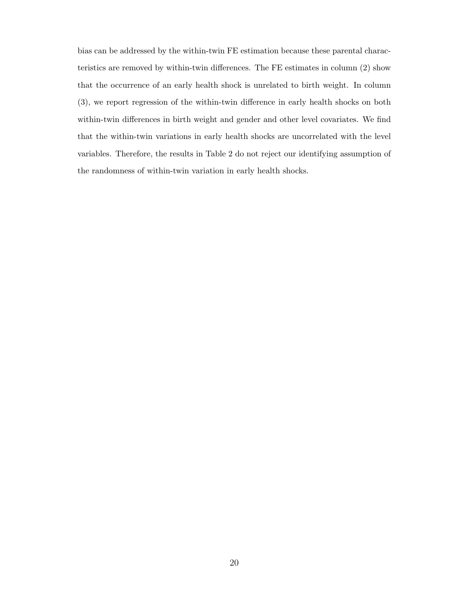bias can be addressed by the within-twin FE estimation because these parental characteristics are removed by within-twin differences. The FE estimates in column (2) show that the occurrence of an early health shock is unrelated to birth weight. In column (3), we report regression of the within-twin difference in early health shocks on both within-twin differences in birth weight and gender and other level covariates. We find that the within-twin variations in early health shocks are uncorrelated with the level variables. Therefore, the results in Table 2 do not reject our identifying assumption of the randomness of within-twin variation in early health shocks.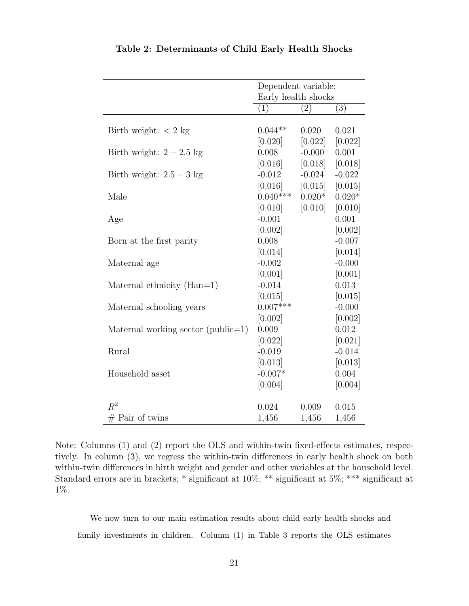|                                    | Dependent variable: |                   |          |
|------------------------------------|---------------------|-------------------|----------|
|                                    | Early health shocks |                   |          |
|                                    | (1)                 | $\left( 2\right)$ | (3)      |
|                                    |                     |                   |          |
| Birth weight: $<$ 2 kg             | $0.044**$           | 0.020             | 0.021    |
|                                    | [0.020]             | [0.022]           | [0.022]  |
| Birth weight: $2-2.5$ kg           | 0.008               | $-0.000$          | 0.001    |
|                                    | [0.016]             | [0.018]           | [0.018]  |
| Birth weight: $2.5 - 3$ kg         | $-0.012$            | $-0.024$          | $-0.022$ |
|                                    | [0.016]             | [0.015]           | [0.015]  |
| Male                               | $0.040***$          | $0.020*$          | $0.020*$ |
|                                    | [0.010]             | [0.010]           | [0.010]  |
| Age                                | $-0.001$            |                   | 0.001    |
|                                    | [0.002]             |                   | [0.002]  |
| Born at the first parity           | 0.008               |                   | $-0.007$ |
|                                    | [0.014]             |                   | [0.014]  |
| Maternal age                       | $-0.002$            |                   | $-0.000$ |
|                                    | [0.001]             |                   | [0.001]  |
| Maternal ethnicity $(Han=1)$       | $-0.014$            |                   | 0.013    |
|                                    | [0.015]             |                   | [0.015]  |
| Maternal schooling years           | $0.007***$          |                   | $-0.000$ |
|                                    | [0.002]             |                   | [0.002]  |
| Maternal working sector (public=1) | 0.009               |                   | 0.012    |
|                                    | [0.022]             |                   | [0.021]  |
| Rural                              | $-0.019$            |                   | $-0.014$ |
|                                    | [0.013]             |                   | [0.013]  |
| Household asset                    | $-0.007*$           |                   | 0.004    |
|                                    | [0.004]             |                   | [0.004]  |
|                                    |                     |                   |          |
| $R^2$                              | 0.024               | 0.009             | 0.015    |
| $#$ Pair of twins                  | 1,456               | 1,456             | 1,456    |

Table 2: Determinants of Child Early Health Shocks

Note: Columns (1) and (2) report the OLS and within-twin fixed-effects estimates, respectively. In column (3), we regress the within-twin differences in early health shock on both within-twin differences in birth weight and gender and other variables at the household level. Standard errors are in brackets; \* significant at 10%; \*\* significant at 5%; \*\*\* significant at 1%.

We now turn to our main estimation results about child early health shocks and family investments in children. Column (1) in Table 3 reports the OLS estimates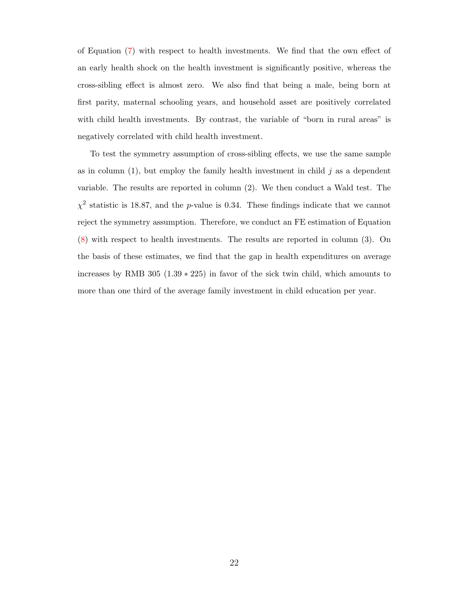of Equation [\(7\)](#page-17-1) with respect to health investments. We find that the own effect of an early health shock on the health investment is significantly positive, whereas the cross-sibling effect is almost zero. We also find that being a male, being born at first parity, maternal schooling years, and household asset are positively correlated with child health investments. By contrast, the variable of "born in rural areas" is negatively correlated with child health investment.

To test the symmetry assumption of cross-sibling effects, we use the same sample as in column  $(1)$ , but employ the family health investment in child j as a dependent variable. The results are reported in column (2). We then conduct a Wald test. The  $\chi^2$  statistic is 18.87, and the p-value is 0.34. These findings indicate that we cannot reject the symmetry assumption. Therefore, we conduct an FE estimation of Equation [\(8\)](#page-18-0) with respect to health investments. The results are reported in column (3). On the basis of these estimates, we find that the gap in health expenditures on average increases by RMB 305 (1.39 ∗ 225) in favor of the sick twin child, which amounts to more than one third of the average family investment in child education per year.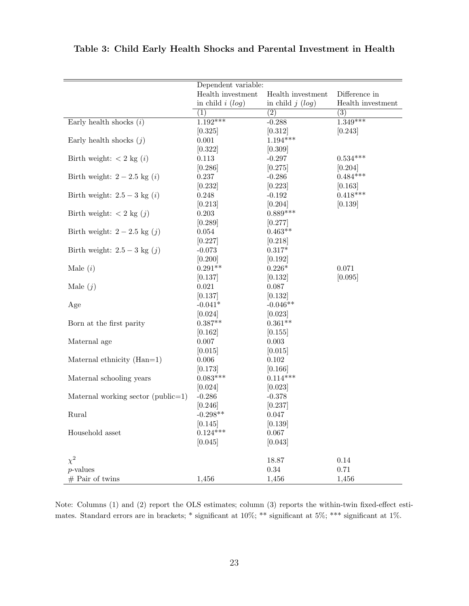|                                                   | Dependent variable: |                   |                   |
|---------------------------------------------------|---------------------|-------------------|-------------------|
|                                                   | Health investment   | Health investment | Difference in     |
|                                                   | in child $i (log)$  | in child $j(log)$ | Health investment |
|                                                   | (1)                 | (2)               | (3)               |
| Early health shocks $(i)$                         | $1.192***$          | $-0.288$          | $1.349***$        |
|                                                   | [0.325]             | [0.312]           | [0.243]           |
| Early health shocks $(j)$                         | 0.001               | $1.194***$        |                   |
|                                                   | [0.322]             | [0.309]           |                   |
| Birth weight: $\langle 2 \text{ kg } (i) \rangle$ | 0.113               | $-0.297$          | $0.534***$        |
|                                                   | [0.286]             | [0.275]           | [0.204]           |
| Birth weight: $2-2.5$ kg $(i)$                    | 0.237               | $-0.286$          | $0.484***$        |
|                                                   | [0.232]             | [0.223]           | [0.163]           |
| Birth weight: $2.5 - 3$ kg $(i)$                  | 0.248               | $-0.192$          | $0.418***$        |
|                                                   | [0.213]             | [0.204]           | [0.139]           |
| Birth weight: $\langle 2 \text{ kg } (j) \rangle$ | 0.203               | $0.889***$        |                   |
|                                                   | [0.289]             | [0.277]           |                   |
| Birth weight: $2-2.5$ kg $(j)$                    | 0.054               | $0.463**$         |                   |
|                                                   | [0.227]             | [0.218]           |                   |
| Birth weight: $2.5 - 3$ kg $(j)$                  | $-0.073$            | $0.317*$          |                   |
|                                                   | [0.200]             | [0.192]           |                   |
| Male $(i)$                                        | $0.291**$           | $0.226*$          | 0.071             |
|                                                   | [0.137]             | [0.132]           | [0.095]           |
| Male $(j)$                                        | 0.021               | 0.087             |                   |
|                                                   | [0.137]             | [0.132]           |                   |
| Age                                               | $-0.041*$           | $-0.046**$        |                   |
|                                                   | [0.024]             | [0.023]           |                   |
| Born at the first parity                          | $0.387**$           | $0.361**$         |                   |
|                                                   | [0.162]             | [0.155]           |                   |
| Maternal age                                      | 0.007               | 0.003             |                   |
|                                                   | [0.015]             | [0.015]           |                   |
| Maternal ethnicity (Han=1)                        | 0.006               | 0.102             |                   |
|                                                   | [0.173]             | [0.166]           |                   |
| Maternal schooling years                          | $0.083***$          | $0.114***$        |                   |
|                                                   | [0.024]             | [0.023]           |                   |
| Maternal working sector (public=1)                | $-0.286$            | $-0.378$          |                   |
|                                                   | [0.246]             | [0.237]           |                   |
| Rural                                             | $-0.298**$          | 0.047             |                   |
|                                                   | [0.145]             | [0.139]           |                   |
| Household asset                                   | $0.124***$          | 0.067             |                   |
|                                                   | [0.045]             | [0.043]           |                   |
| $\chi^2$                                          |                     | 18.87             | 0.14              |
| $p$ -values                                       |                     | $0.34\,$          | 0.71              |
| $#$ Pair of twins                                 | 1,456               | 1,456             | 1,456             |

Table 3: Child Early Health Shocks and Parental Investment in Health

Note: Columns (1) and (2) report the OLS estimates; column (3) reports the within-twin fixed-effect estimates. Standard errors are in brackets; \* significant at 10%; \*\* significant at 5%; \*\*\* significant at 1%.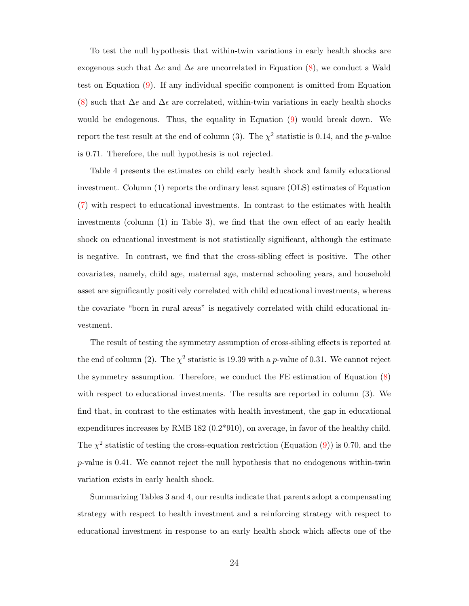To test the null hypothesis that within-twin variations in early health shocks are exogenous such that  $\Delta e$  and  $\Delta \epsilon$  are uncorrelated in Equation [\(8\)](#page-18-0), we conduct a Wald test on Equation [\(9\)](#page-19-1). If any individual specific component is omitted from Equation [\(8\)](#page-18-0) such that  $\Delta e$  and  $\Delta \epsilon$  are correlated, within-twin variations in early health shocks would be endogenous. Thus, the equality in Equation [\(9\)](#page-19-1) would break down. We report the test result at the end of column (3). The  $\chi^2$  statistic is 0.14, and the p-value is 0.71. Therefore, the null hypothesis is not rejected.

Table 4 presents the estimates on child early health shock and family educational investment. Column (1) reports the ordinary least square (OLS) estimates of Equation [\(7\)](#page-17-1) with respect to educational investments. In contrast to the estimates with health investments (column (1) in Table 3), we find that the own effect of an early health shock on educational investment is not statistically significant, although the estimate is negative. In contrast, we find that the cross-sibling effect is positive. The other covariates, namely, child age, maternal age, maternal schooling years, and household asset are significantly positively correlated with child educational investments, whereas the covariate "born in rural areas" is negatively correlated with child educational investment.

The result of testing the symmetry assumption of cross-sibling effects is reported at the end of column (2). The  $\chi^2$  statistic is 19.39 with a p-value of 0.31. We cannot reject the symmetry assumption. Therefore, we conduct the FE estimation of Equation [\(8\)](#page-18-0) with respect to educational investments. The results are reported in column (3). We find that, in contrast to the estimates with health investment, the gap in educational expenditures increases by RMB 182 (0.2\*910), on average, in favor of the healthy child. The  $\chi^2$  statistic of testing the cross-equation restriction (Equation [\(9\)](#page-19-1)) is 0.70, and the p-value is 0.41. We cannot reject the null hypothesis that no endogenous within-twin variation exists in early health shock.

Summarizing Tables 3 and 4, our results indicate that parents adopt a compensating strategy with respect to health investment and a reinforcing strategy with respect to educational investment in response to an early health shock which affects one of the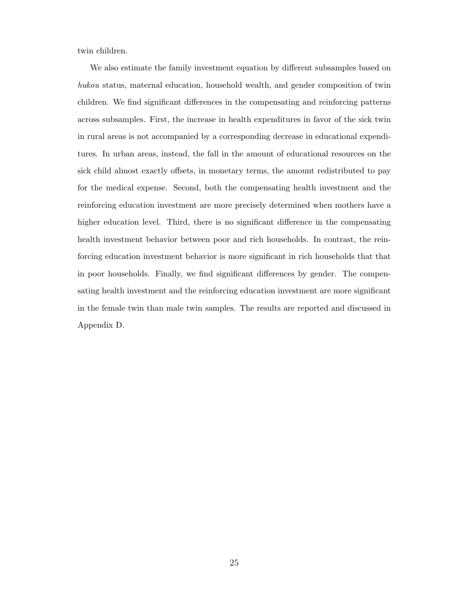twin children.

We also estimate the family investment equation by different subsamples based on hukou status, maternal education, household wealth, and gender composition of twin children. We find significant differences in the compensating and reinforcing patterns across subsamples. First, the increase in health expenditures in favor of the sick twin in rural areas is not accompanied by a corresponding decrease in educational expenditures. In urban areas, instead, the fall in the amount of educational resources on the sick child almost exactly offsets, in monetary terms, the amount redistributed to pay for the medical expense. Second, both the compensating health investment and the reinforcing education investment are more precisely determined when mothers have a higher education level. Third, there is no significant difference in the compensating health investment behavior between poor and rich households. In contrast, the reinforcing education investment behavior is more significant in rich households that that in poor households. Finally, we find significant differences by gender. The compensating health investment and the reinforcing education investment are more significant in the female twin than male twin samples. The results are reported and discussed in Appendix D.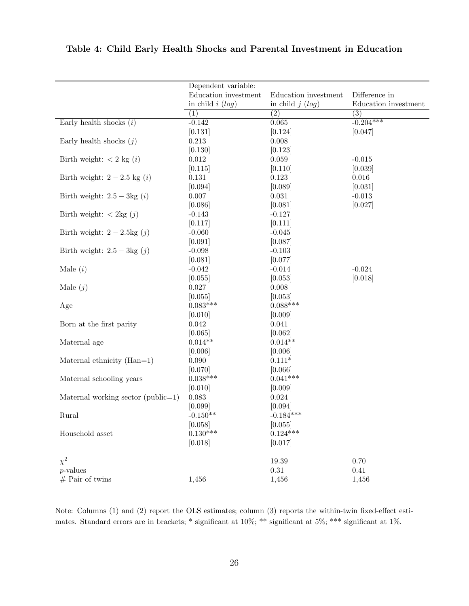|                                                   | Dependent variable:  |                      |                      |
|---------------------------------------------------|----------------------|----------------------|----------------------|
|                                                   | Education investment | Education investment | Difference in        |
|                                                   | in child $i (log)$   | in child $j(log)$    | Education investment |
|                                                   | (1)                  | $\overline{(2)}$     | (3)                  |
| Early health shocks $(i)$                         | $-0.142$             | 0.065                | $-0.204***$          |
|                                                   | [0.131]              | [0.124]              | [0.047]              |
| Early health shocks $(j)$                         | 0.213                | $0.008\,$            |                      |
|                                                   | [0.130]              | [0.123]              |                      |
| Birth weight: $\langle 2 \text{ kg } (i) \rangle$ | $\,0.012\,$          | $0.059\,$            | $-0.015$             |
|                                                   | [0.115]              | [0.110]              | [0.039]              |
| Birth weight: $2-2.5$ kg $(i)$                    | $0.131\,$            | 0.123                | 0.016                |
|                                                   | [0.094]              | [0.089]              | [0.031]              |
| Birth weight: $2.5 - 3\text{kg}(i)$               | $0.007\,$            | $\,0.031\,$          | $-0.013$             |
|                                                   | [0.086]              | [0.081]              | [0.027]              |
| Birth weight: $\langle 2 \text{kg } (j) \rangle$  | $-0.143$             | $-0.127$             |                      |
|                                                   | [0.117]              | [0.111]              |                      |
| Birth weight: $2-2.5\text{kg}(j)$                 | $-0.060$             | $-0.045$             |                      |
|                                                   | [0.091]              | [0.087]              |                      |
| Birth weight: $2.5 - 3\text{kg}(j)$               | $-0.098$             | $-0.103$             |                      |
|                                                   | [0.081]              | [0.077]              |                      |
| Male $(i)$                                        | $-0.042$             | $-0.014$             | $-0.024$             |
|                                                   | [0.055]              | [0.053]              | [0.018]              |
| Male $(j)$                                        | 0.027                | $0.008\,$            |                      |
|                                                   | [0.055]              | [0.053]              |                      |
| Age                                               | $0.083***$           | $0.088***$           |                      |
|                                                   | [0.010]              | [0.009]              |                      |
| Born at the first parity                          | $\,0.042\,$          | 0.041                |                      |
|                                                   | [0.065]              | [0.062]              |                      |
| Maternal age                                      | $0.014**$            | $0.014**$            |                      |
|                                                   | [0.006]              | [0.006]              |                      |
| Maternal ethnicity (Han=1)                        | $0.090\,$            | $0.111*$             |                      |
|                                                   | [0.070]              | [0.066]              |                      |
| Maternal schooling years                          | $0.038***$           | $0.041***$           |                      |
|                                                   | [0.010]              | [0.009]              |                      |
| Maternal working sector (public=1)                | 0.083                | 0.024                |                      |
|                                                   | [0.099]              | [0.094]              |                      |
| Rural                                             | $-0.150**$           | $-0.184***$          |                      |
|                                                   | [0.058]              | [0.055]              |                      |
| Household asset                                   | $0.130***$           | $0.124***$           |                      |
|                                                   | [0.018]              | [0.017]              |                      |
|                                                   |                      |                      |                      |
| $\chi^2$                                          |                      | 19.39                | 0.70                 |
| $p$ -values                                       |                      | $0.31\,$             | $0.41\,$             |
| $#$ Pair of twins                                 | 1,456                | 1,456                | 1,456                |

Table 4: Child Early Health Shocks and Parental Investment in Education

Note: Columns (1) and (2) report the OLS estimates; column (3) reports the within-twin fixed-effect estimates. Standard errors are in brackets; \* significant at 10%; \*\* significant at 5%; \*\*\* significant at 1%.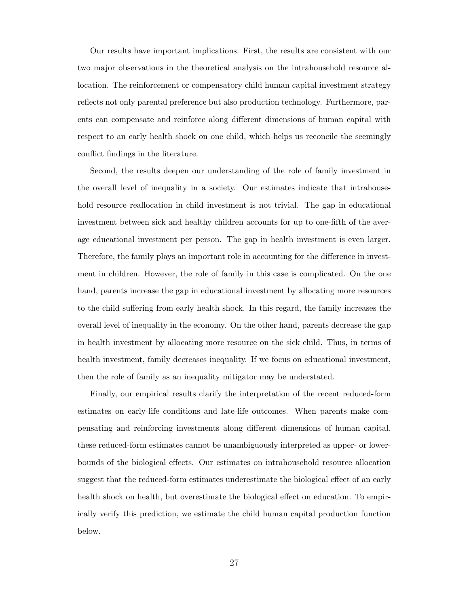Our results have important implications. First, the results are consistent with our two major observations in the theoretical analysis on the intrahousehold resource allocation. The reinforcement or compensatory child human capital investment strategy reflects not only parental preference but also production technology. Furthermore, parents can compensate and reinforce along different dimensions of human capital with respect to an early health shock on one child, which helps us reconcile the seemingly conflict findings in the literature.

Second, the results deepen our understanding of the role of family investment in the overall level of inequality in a society. Our estimates indicate that intrahousehold resource reallocation in child investment is not trivial. The gap in educational investment between sick and healthy children accounts for up to one-fifth of the average educational investment per person. The gap in health investment is even larger. Therefore, the family plays an important role in accounting for the difference in investment in children. However, the role of family in this case is complicated. On the one hand, parents increase the gap in educational investment by allocating more resources to the child suffering from early health shock. In this regard, the family increases the overall level of inequality in the economy. On the other hand, parents decrease the gap in health investment by allocating more resource on the sick child. Thus, in terms of health investment, family decreases inequality. If we focus on educational investment, then the role of family as an inequality mitigator may be understated.

Finally, our empirical results clarify the interpretation of the recent reduced-form estimates on early-life conditions and late-life outcomes. When parents make compensating and reinforcing investments along different dimensions of human capital, these reduced-form estimates cannot be unambiguously interpreted as upper- or lowerbounds of the biological effects. Our estimates on intrahousehold resource allocation suggest that the reduced-form estimates underestimate the biological effect of an early health shock on health, but overestimate the biological effect on education. To empirically verify this prediction, we estimate the child human capital production function below.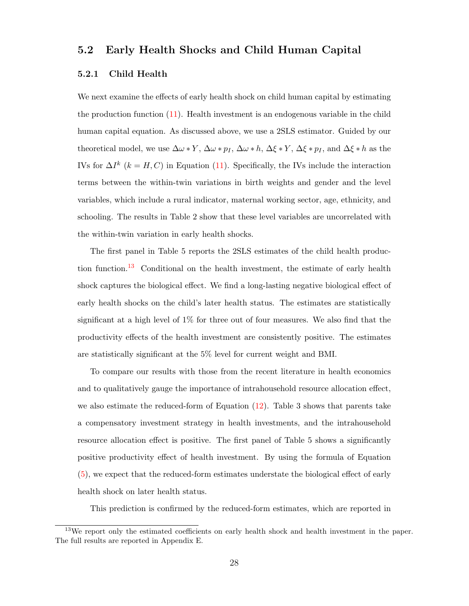#### 5.2 Early Health Shocks and Child Human Capital

#### 5.2.1 Child Health

We next examine the effects of early health shock on child human capital by estimating the production function [\(11\)](#page-20-0). Health investment is an endogenous variable in the child human capital equation. As discussed above, we use a 2SLS estimator. Guided by our theoretical model, we use  $\Delta\omega * Y$ ,  $\Delta\omega * p_I$ ,  $\Delta\omega * h$ ,  $\Delta\xi * Y$ ,  $\Delta\xi * p_I$ , and  $\Delta\xi * h$  as the IVs for  $\Delta I^k$  ( $k = H, C$ ) in Equation [\(11\)](#page-20-0). Specifically, the IVs include the interaction terms between the within-twin variations in birth weights and gender and the level variables, which include a rural indicator, maternal working sector, age, ethnicity, and schooling. The results in Table 2 show that these level variables are uncorrelated with the within-twin variation in early health shocks.

The first panel in Table 5 reports the 2SLS estimates of the child health produc-tion function.<sup>[13](#page-30-0)</sup> Conditional on the health investment, the estimate of early health shock captures the biological effect. We find a long-lasting negative biological effect of early health shocks on the child's later health status. The estimates are statistically significant at a high level of 1% for three out of four measures. We also find that the productivity effects of the health investment are consistently positive. The estimates are statistically significant at the 5% level for current weight and BMI.

To compare our results with those from the recent literature in health economics and to qualitatively gauge the importance of intrahousehold resource allocation effect, we also estimate the reduced-form of Equation [\(12\)](#page-21-1). Table 3 shows that parents take a compensatory investment strategy in health investments, and the intrahousehold resource allocation effect is positive. The first panel of Table 5 shows a significantly positive productivity effect of health investment. By using the formula of Equation [\(5\)](#page-10-0), we expect that the reduced-form estimates understate the biological effect of early health shock on later health status.

This prediction is confirmed by the reduced-form estimates, which are reported in

<span id="page-30-0"></span><sup>&</sup>lt;sup>13</sup>We report only the estimated coefficients on early health shock and health investment in the paper. The full results are reported in Appendix E.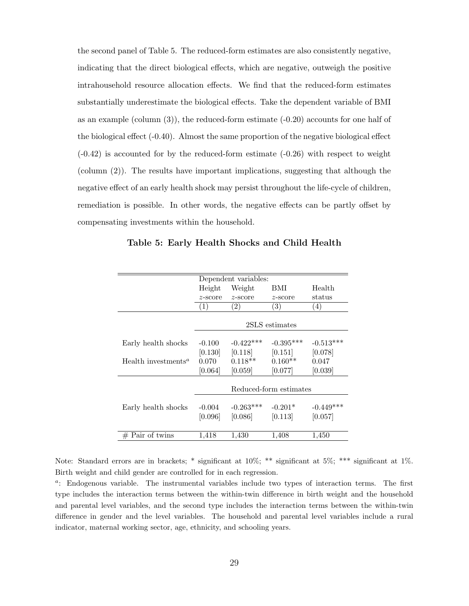the second panel of Table 5. The reduced-form estimates are also consistently negative, indicating that the direct biological effects, which are negative, outweigh the positive intrahousehold resource allocation effects. We find that the reduced-form estimates substantially underestimate the biological effects. Take the dependent variable of BMI as an example (column (3)), the reduced-form estimate (-0.20) accounts for one half of the biological effect (-0.40). Almost the same proportion of the negative biological effect  $(-0.42)$  is accounted for by the reduced-form estimate  $(-0.26)$  with respect to weight (column (2)). The results have important implications, suggesting that although the negative effect of an early health shock may persist throughout the life-cycle of children, remediation is possible. In other words, the negative effects can be partly offset by compensating investments within the household.

|                                              | Dependent variables:   |                   |                   |             |
|----------------------------------------------|------------------------|-------------------|-------------------|-------------|
|                                              | Height                 | Weight            | BMI               | Health      |
|                                              | z-score                | $z$ -score        | $z$ -score        | status      |
|                                              |                        | $\left( 2\right)$ | $\left( 3\right)$ | (4)         |
|                                              |                        |                   |                   |             |
|                                              |                        |                   | 2SLS estimates    |             |
|                                              |                        |                   |                   |             |
| Early health shocks                          | $-0.100$               | $-0.422***$       | $-0.395***$       | $-0.513***$ |
|                                              | [0.130]                | [0.118]           | [0.151]           | [0.078]     |
| Health investments <sup><math>a</math></sup> | 0.070                  | $0.118**$         | $0.160**$         | 0.047       |
|                                              | [0.064]                | [0.059]           | [0.077]           | [0.039]     |
|                                              |                        |                   |                   |             |
|                                              | Reduced-form estimates |                   |                   |             |
|                                              |                        |                   |                   |             |
| Early health shocks                          | $-0.004$               | $-0.263***$       | $-0.201*$         | $-0.449***$ |
|                                              | [0.096]                | [0.086]           | [0.113]           | [0.057]     |
|                                              |                        |                   |                   |             |
| $#$ Pair of twins                            | 1,418                  | 1,430             | 1,408             | 1,450       |

Table 5: Early Health Shocks and Child Health

Note: Standard errors are in brackets; \* significant at 10%; \*\* significant at 5%; \*\*\* significant at 1%. Birth weight and child gender are controlled for in each regression.

<sup>a</sup>: Endogenous variable. The instrumental variables include two types of interaction terms. The first type includes the interaction terms between the within-twin difference in birth weight and the household and parental level variables, and the second type includes the interaction terms between the within-twin difference in gender and the level variables. The household and parental level variables include a rural indicator, maternal working sector, age, ethnicity, and schooling years.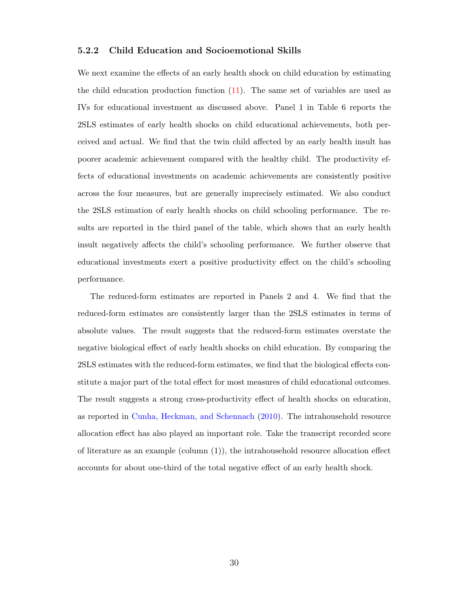#### 5.2.2 Child Education and Socioemotional Skills

We next examine the effects of an early health shock on child education by estimating the child education production function [\(11\)](#page-20-0). The same set of variables are used as IVs for educational investment as discussed above. Panel 1 in Table 6 reports the 2SLS estimates of early health shocks on child educational achievements, both perceived and actual. We find that the twin child affected by an early health insult has poorer academic achievement compared with the healthy child. The productivity effects of educational investments on academic achievements are consistently positive across the four measures, but are generally imprecisely estimated. We also conduct the 2SLS estimation of early health shocks on child schooling performance. The results are reported in the third panel of the table, which shows that an early health insult negatively affects the child's schooling performance. We further observe that educational investments exert a positive productivity effect on the child's schooling performance.

The reduced-form estimates are reported in Panels 2 and 4. We find that the reduced-form estimates are consistently larger than the 2SLS estimates in terms of absolute values. The result suggests that the reduced-form estimates overstate the negative biological effect of early health shocks on child education. By comparing the 2SLS estimates with the reduced-form estimates, we find that the biological effects constitute a major part of the total effect for most measures of child educational outcomes. The result suggests a strong cross-productivity effect of health shocks on education, as reported in [Cunha, Heckman, and Schennach](#page-41-4) [\(2010\)](#page-41-4). The intrahousehold resource allocation effect has also played an important role. Take the transcript recorded score of literature as an example (column  $(1)$ ), the intrahousehold resource allocation effect accounts for about one-third of the total negative effect of an early health shock.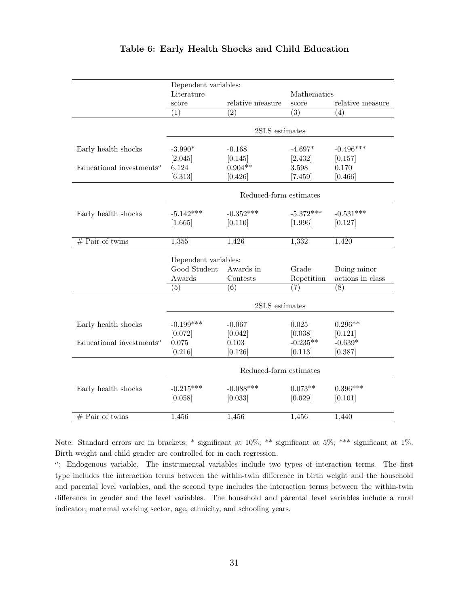|                                                   | Dependent variables:   |                        |                  |                   |
|---------------------------------------------------|------------------------|------------------------|------------------|-------------------|
|                                                   | Literature             |                        | Mathematics      |                   |
|                                                   | score                  | relative measure       | score            | relative measure  |
|                                                   | (1)                    | (2)                    | $\overline{(3)}$ | $\left( 4\right)$ |
|                                                   |                        | 2SLS estimates         |                  |                   |
|                                                   |                        |                        |                  |                   |
| Early health shocks                               | $-3.990*$              | $-0.168$               | $-4.697*$        | $-0.496***$       |
|                                                   | [2.045]                | [0.145]                | [2.432]          | [0.157]           |
| Educational investments <sup><math>a</math></sup> | 6.124                  | $0.904**$              | 3.598            | 0.170             |
|                                                   | $[6.313]$              | [0.426]                | $[7.459]$        | [0.466]           |
|                                                   |                        |                        |                  |                   |
|                                                   |                        | Reduced-form estimates |                  |                   |
| Early health shocks                               | $-5.142***$            | $-0.352***$            | $-5.372***$      | $-0.531***$       |
|                                                   | [1.665]                | [0.110]                | [1.996]          | [0.127]           |
|                                                   |                        |                        |                  |                   |
| $#$ Pair of twins                                 | 1,355                  | 1,426                  | 1,332            | 1,420             |
|                                                   |                        |                        |                  |                   |
|                                                   | Dependent variables:   |                        |                  |                   |
|                                                   | Good Student           | Awards in              | Grade            | Doing minor       |
|                                                   | Awards                 | Contests               | Repetition       | actions in class  |
|                                                   | $\left( 5\right)$      | $\overline{(6)}$       | (7)              | (8)               |
|                                                   |                        | 2SLS estimates         |                  |                   |
|                                                   |                        |                        |                  |                   |
| Early health shocks                               | $-0.199***$            | $-0.067$               | 0.025            | $0.296**$         |
|                                                   | [0.072]                | [0.042]                | [0.038]          | [0.121]           |
| Educational investments <sup><math>a</math></sup> | 0.075                  | 0.103                  | $-0.235**$       | $-0.639*$         |
|                                                   | [0.216]                | [0.126]                | [0.113]          | [0.387]           |
|                                                   |                        |                        |                  |                   |
|                                                   | Reduced-form estimates |                        |                  |                   |
| Early health shocks                               | $-0.215***$            | $-0.088***$            | $0.073**$        | $0.396***$        |
|                                                   | [0.058]                | [0.033]                | [0.029]          | [0.101]           |
|                                                   |                        |                        |                  |                   |
| $#$ Pair of twins                                 | 1,456                  | 1,456                  | 1,456            | 1,440             |

#### Table 6: Early Health Shocks and Child Education

Note: Standard errors are in brackets; \* significant at 10%; \*\* significant at 5%; \*\*\* significant at 1%. Birth weight and child gender are controlled for in each regression.

<sup>a</sup>: Endogenous variable. The instrumental variables include two types of interaction terms. The first type includes the interaction terms between the within-twin difference in birth weight and the household and parental level variables, and the second type includes the interaction terms between the within-twin difference in gender and the level variables. The household and parental level variables include a rural indicator, maternal working sector, age, ethnicity, and schooling years.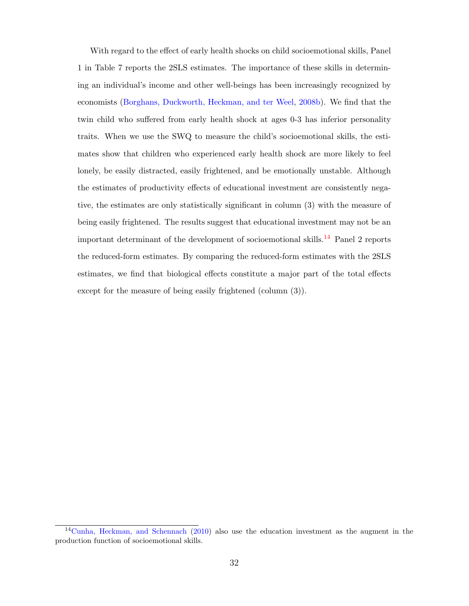With regard to the effect of early health shocks on child socioemotional skills, Panel 1 in Table 7 reports the 2SLS estimates. The importance of these skills in determining an individual's income and other well-beings has been increasingly recognized by economists [\(Borghans, Duckworth, Heckman, and ter Weel,](#page-40-8) [2008b\)](#page-40-8). We find that the twin child who suffered from early health shock at ages 0-3 has inferior personality traits. When we use the SWQ to measure the child's socioemotional skills, the estimates show that children who experienced early health shock are more likely to feel lonely, be easily distracted, easily frightened, and be emotionally unstable. Although the estimates of productivity effects of educational investment are consistently negative, the estimates are only statistically significant in column (3) with the measure of being easily frightened. The results suggest that educational investment may not be an important determinant of the development of socioemotional skills.<sup>[14](#page-34-0)</sup> Panel 2 reports the reduced-form estimates. By comparing the reduced-form estimates with the 2SLS estimates, we find that biological effects constitute a major part of the total effects except for the measure of being easily frightened (column (3)).

<span id="page-34-0"></span> $14$ [Cunha, Heckman, and Schennach](#page-41-4) [\(2010\)](#page-41-4) also use the education investment as the augment in the production function of socioemotional skills.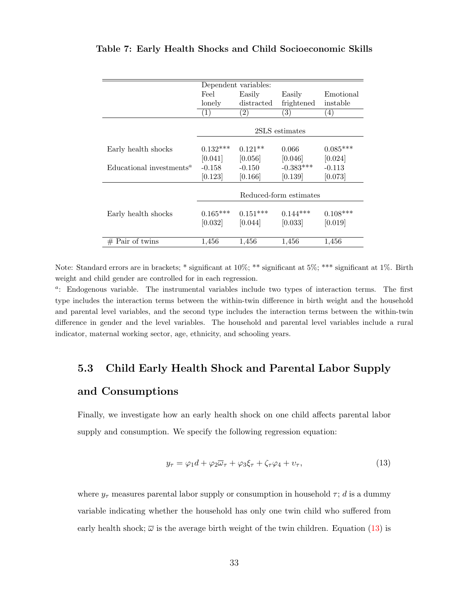| Feel       | Easily                | Easily                          | Emotional                                                    |
|------------|-----------------------|---------------------------------|--------------------------------------------------------------|
| lonely     | distracted            | frightened                      | instable                                                     |
| (1)        | (2)                   | (3)                             | (4)                                                          |
|            |                       |                                 |                                                              |
|            |                       |                                 |                                                              |
|            | $0.121**$             |                                 | $0.085***$                                                   |
|            |                       |                                 | [0.024]                                                      |
| $-0.158$   | $-0.150$              | $-0.383***$                     | $-0.113$                                                     |
| [0.123]    | [0.166]               | [0.139]                         | [0.073]                                                      |
|            |                       |                                 |                                                              |
|            |                       |                                 |                                                              |
| $0.165***$ | $0.151***$            | $0.144***$                      | $0.108***$                                                   |
| [0.032]    | [0.044]               | [0.033]                         | [0.019]                                                      |
|            |                       |                                 |                                                              |
| 1,456      | 1,456                 | 1,456                           | 1,456                                                        |
|            | $0.132***$<br>[0.041] | Dependent variables:<br>[0.056] | 2SLS estimates<br>0.066<br>[0.046]<br>Reduced-form estimates |

#### Table 7: Early Health Shocks and Child Socioeconomic Skills

Note: Standard errors are in brackets; \* significant at 10%; \*\* significant at 5%; \*\*\* significant at 1%. Birth weight and child gender are controlled for in each regression.

<sup>a</sup>: Endogenous variable. The instrumental variables include two types of interaction terms. The first type includes the interaction terms between the within-twin difference in birth weight and the household and parental level variables, and the second type includes the interaction terms between the within-twin difference in gender and the level variables. The household and parental level variables include a rural indicator, maternal working sector, age, ethnicity, and schooling years.

# 5.3 Child Early Health Shock and Parental Labor Supply and Consumptions

Finally, we investigate how an early health shock on one child affects parental labor supply and consumption. We specify the following regression equation:

<span id="page-35-0"></span>
$$
y_{\tau} = \varphi_1 d + \varphi_2 \overline{\omega}_{\tau} + \varphi_3 \xi_{\tau} + \zeta_{\tau} \varphi_4 + v_{\tau}, \tag{13}
$$

where  $y_{\tau}$  measures parental labor supply or consumption in household  $\tau$ ; d is a dummy variable indicating whether the household has only one twin child who suffered from early health shock;  $\overline{\omega}$  is the average birth weight of the twin children. Equation [\(13\)](#page-35-0) is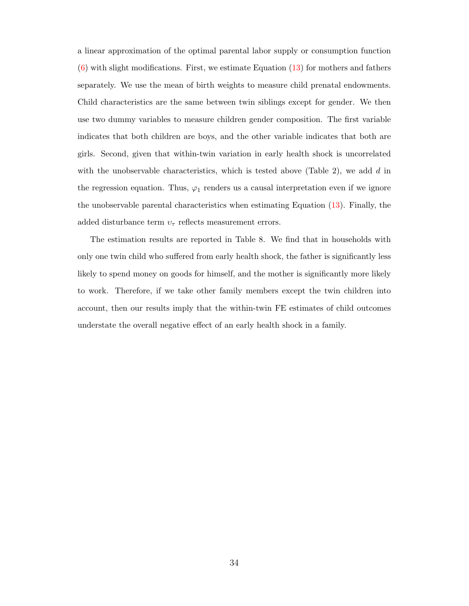a linear approximation of the optimal parental labor supply or consumption function  $(6)$  with slight modifications. First, we estimate Equation  $(13)$  for mothers and fathers separately. We use the mean of birth weights to measure child prenatal endowments. Child characteristics are the same between twin siblings except for gender. We then use two dummy variables to measure children gender composition. The first variable indicates that both children are boys, and the other variable indicates that both are girls. Second, given that within-twin variation in early health shock is uncorrelated with the unobservable characteristics, which is tested above (Table 2), we add  $d$  in the regression equation. Thus,  $\varphi_1$  renders us a causal interpretation even if we ignore the unobservable parental characteristics when estimating Equation [\(13\)](#page-35-0). Finally, the added disturbance term  $v_{\tau}$  reflects measurement errors.

The estimation results are reported in Table 8. We find that in households with only one twin child who suffered from early health shock, the father is significantly less likely to spend money on goods for himself, and the mother is significantly more likely to work. Therefore, if we take other family members except the twin children into account, then our results imply that the within-twin FE estimates of child outcomes understate the overall negative effect of an early health shock in a family.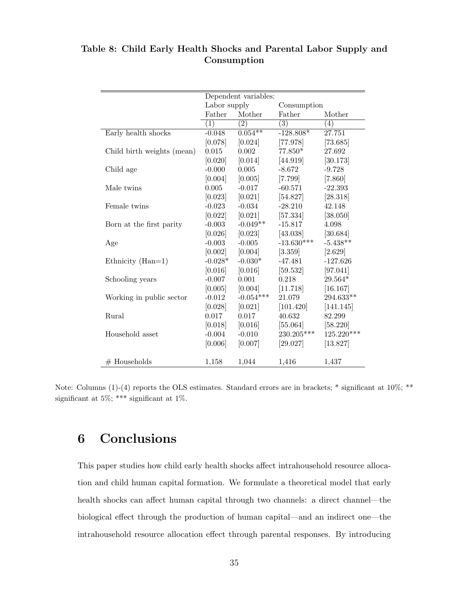|                            | Dependent variables: |                   |                  |            |
|----------------------------|----------------------|-------------------|------------------|------------|
|                            | Labor supply         |                   | Consumption      |            |
|                            | Father               | Mother            | Father           | Mother     |
|                            | (1)                  | $\left( 2\right)$ | $\overline{(3)}$ | (4)        |
| Early health shocks        | $-0.048$             | $0.054***$        | $-128.808*$      | 27.751     |
|                            | [0.078]              | [0.024]           | [77.978]         | [73.685]   |
| Child birth weights (mean) | 0.015                | 0.002             | $77.850*$        | 27.692     |
|                            | [0.020]              | [0.014]           | [44.919]         | [30.173]   |
| Child age                  | $-0.000$             | 0.005             | $-8.672$         | $-9.728$   |
|                            | [0.004]              | [0.005]           | [7.799]          | [7.860]    |
| Male twins                 | 0.005                | $-0.017$          | $-60.571$        | $-22.393$  |
|                            | [0.023]              | [0.021]           | [54.827]         | [28.318]   |
| Female twins               | $-0.023$             | $-0.034$          | $-28.210$        | 42.148     |
|                            | [0.022]              | [0.021]           | [57.334]         | [38.050]   |
| Born at the first parity   | $-0.003$             | $-0.049**$        | $-15.817$        | 4.098      |
|                            | [0.026]              | [0.023]           | [43.038]         | [30.684]   |
| Age                        | $-0.003$             | $-0.005$          | $-13.630***$     | $-5.438**$ |
|                            | [0.002]              | [0.004]           | [3.359]          | [2.629]    |
| Ethnicity $(Han=1)$        | $-0.028*$            | $-0.030*$         | $-47.481$        | $-127.626$ |
|                            | [0.016]              | [0.016]           | [59.532]         | [97.041]   |
| Schooling years            | $-0.007$             | 0.001             | 0.218            | 29.564*    |
|                            | [0.005]              | [0.004]           | [11.718]         | [16.167]   |
| Working in public sector   | $-0.012$             | $-0.054***$       | 21.079           | 294.633**  |
|                            | [0.028]              | [0.021]           | [101.420]        | [141.145]  |
| Rural                      | 0.017                | 0.017             | 40.632           | 82.299     |
|                            | [0.018]              | [0.016]           | [55.064]         | [58.220]   |
| Household asset            | $-0.004$             | $-0.010$          | 230.205***       | 125.220*** |
|                            | [0.006]              | [0.007]           | [29.027]         | [13.827]   |
|                            |                      |                   |                  |            |
| $#$ Households             | 1,158                | 1,044             | 1,416            | 1,437      |

Table 8: Child Early Health Shocks and Parental Labor Supply and Consumption

Note: Columns (1)-(4) reports the OLS estimates. Standard errors are in brackets; \* significant at 10%; \*\* significant at 5%; \*\*\* significant at 1%.

## <span id="page-37-0"></span>6 Conclusions

This paper studies how child early health shocks affect intrahousehold resource allocation and child human capital formation. We formulate a theoretical model that early health shocks can affect human capital through two channels: a direct channel—the biological effect through the production of human capital—and an indirect one—the intrahousehold resource allocation effect through parental responses. By introducing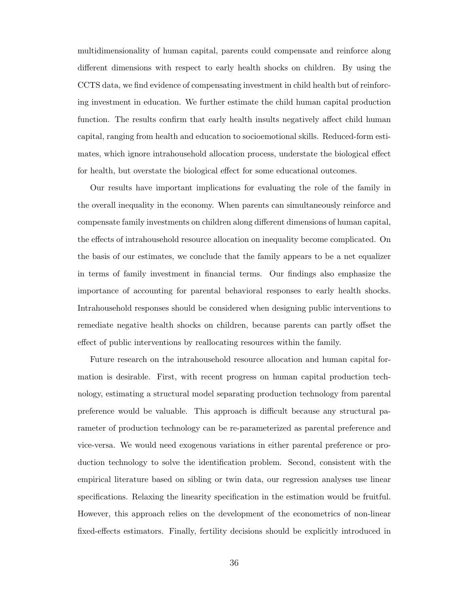multidimensionality of human capital, parents could compensate and reinforce along different dimensions with respect to early health shocks on children. By using the CCTS data, we find evidence of compensating investment in child health but of reinforcing investment in education. We further estimate the child human capital production function. The results confirm that early health insults negatively affect child human capital, ranging from health and education to socioemotional skills. Reduced-form estimates, which ignore intrahousehold allocation process, understate the biological effect for health, but overstate the biological effect for some educational outcomes.

Our results have important implications for evaluating the role of the family in the overall inequality in the economy. When parents can simultaneously reinforce and compensate family investments on children along different dimensions of human capital, the effects of intrahousehold resource allocation on inequality become complicated. On the basis of our estimates, we conclude that the family appears to be a net equalizer in terms of family investment in financial terms. Our findings also emphasize the importance of accounting for parental behavioral responses to early health shocks. Intrahousehold responses should be considered when designing public interventions to remediate negative health shocks on children, because parents can partly offset the effect of public interventions by reallocating resources within the family.

Future research on the intrahousehold resource allocation and human capital formation is desirable. First, with recent progress on human capital production technology, estimating a structural model separating production technology from parental preference would be valuable. This approach is difficult because any structural parameter of production technology can be re-parameterized as parental preference and vice-versa. We would need exogenous variations in either parental preference or production technology to solve the identification problem. Second, consistent with the empirical literature based on sibling or twin data, our regression analyses use linear specifications. Relaxing the linearity specification in the estimation would be fruitful. However, this approach relies on the development of the econometrics of non-linear fixed-effects estimators. Finally, fertility decisions should be explicitly introduced in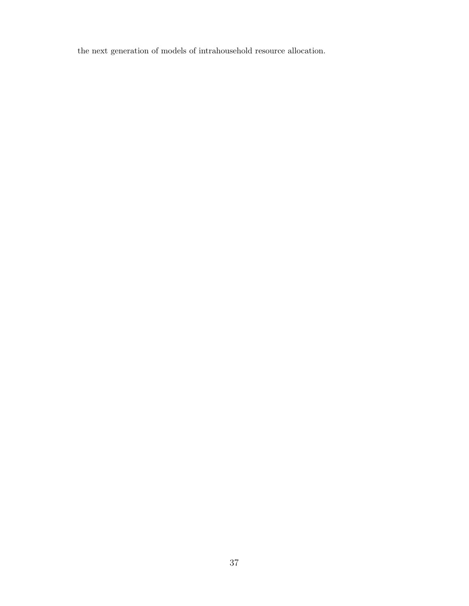the next generation of models of intrahousehold resource allocation.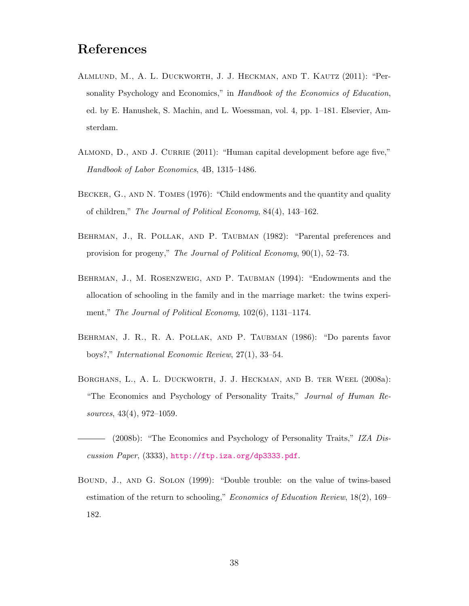- <span id="page-40-4"></span>Almlund, M., A. L. Duckworth, J. J. Heckman, and T. Kautz (2011): "Personality Psychology and Economics," in Handbook of the Economics of Education, ed. by E. Hanushek, S. Machin, and L. Woessman, vol. 4, pp. 1–181. Elsevier, Amsterdam.
- <span id="page-40-6"></span>ALMOND, D., AND J. CURRIE (2011): "Human capital development before age five," Handbook of Labor Economics, 4B, 1315–1486.
- <span id="page-40-0"></span>BECKER, G., AND N. TOMES (1976): "Child endowments and the quantity and quality of children," The Journal of Political Economy, 84(4), 143–162.
- <span id="page-40-2"></span>Behrman, J., R. Pollak, and P. Taubman (1982): "Parental preferences and provision for progeny," The Journal of Political Economy, 90(1), 52–73.
- <span id="page-40-1"></span>Behrman, J., M. Rosenzweig, and P. Taubman (1994): "Endowments and the allocation of schooling in the family and in the marriage market: the twins experiment," The Journal of Political Economy, 102(6), 1131-1174.
- <span id="page-40-5"></span>Behrman, J. R., R. A. Pollak, and P. Taubman (1986): "Do parents favor boys?," International Economic Review, 27(1), 33–54.
- <span id="page-40-3"></span>Borghans, L., A. L. Duckworth, J. J. Heckman, and B. ter Weel (2008a): "The Economics and Psychology of Personality Traits," Journal of Human Resources, 43(4), 972–1059.
- <span id="page-40-8"></span>(2008b): "The Economics and Psychology of Personality Traits," IZA Discussion Paper, (3333), <http://ftp.iza.org/dp3333.pdf>.
- <span id="page-40-7"></span>Bound, J., and G. Solon (1999): "Double trouble: on the value of twins-based estimation of the return to schooling," Economics of Education Review, 18(2), 169– 182.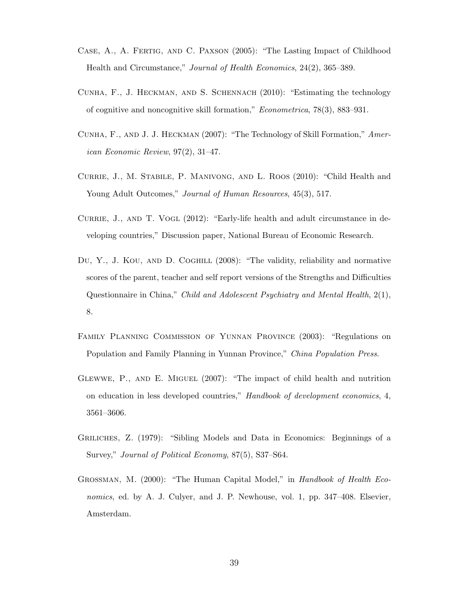- <span id="page-41-5"></span>Case, A., A. Fertig, and C. Paxson (2005): "The Lasting Impact of Childhood Health and Circumstance," Journal of Health Economics, 24(2), 365–389.
- <span id="page-41-4"></span>Cunha, F., J. Heckman, and S. Schennach (2010): "Estimating the technology of cognitive and noncognitive skill formation," Econometrica, 78(3), 883–931.
- <span id="page-41-3"></span>Cunha, F., and J. J. Heckman (2007): "The Technology of Skill Formation," American Economic Review, 97(2), 31–47.
- <span id="page-41-6"></span>Currie, J., M. Stabile, P. Manivong, and L. Roos (2010): "Child Health and Young Adult Outcomes," Journal of Human Resources, 45(3), 517.
- <span id="page-41-1"></span>CURRIE, J., AND T. VOGL (2012): "Early-life health and adult circumstance in developing countries," Discussion paper, National Bureau of Economic Research.
- <span id="page-41-7"></span>Du, Y., J. KOU, AND D. COGHILL (2008): "The validity, reliability and normative scores of the parent, teacher and self report versions of the Strengths and Difficulties Questionnaire in China," Child and Adolescent Psychiatry and Mental Health, 2(1), 8.
- <span id="page-41-9"></span>Family Planning Commission of Yunnan Province (2003): "Regulations on Population and Family Planning in Yunnan Province," China Population Press.
- <span id="page-41-2"></span>Glewwe, P., and E. Miguel (2007): "The impact of child health and nutrition on education in less developed countries," Handbook of development economics, 4, 3561–3606.
- <span id="page-41-0"></span>Griliches, Z. (1979): "Sibling Models and Data in Economics: Beginnings of a Survey," Journal of Political Economy, 87(5), S37–S64.
- <span id="page-41-8"></span>GROSSMAN, M. (2000): "The Human Capital Model," in Handbook of Health Economics, ed. by A. J. Culyer, and J. P. Newhouse, vol. 1, pp. 347–408. Elsevier, Amsterdam.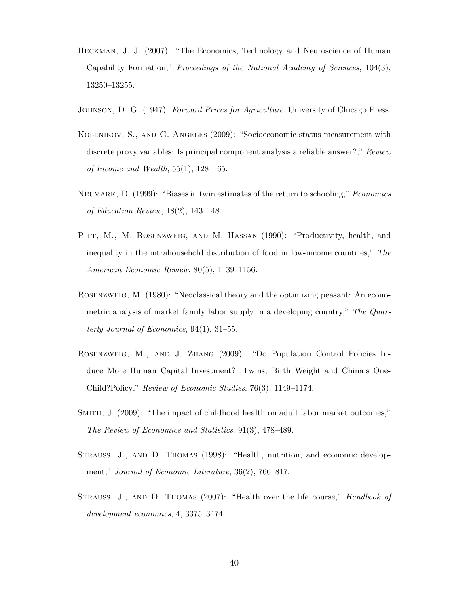- <span id="page-42-4"></span>Heckman, J. J. (2007): "The Economics, Technology and Neuroscience of Human Capability Formation," Proceedings of the National Academy of Sciences, 104(3), 13250–13255.
- <span id="page-42-6"></span>JOHNSON, D. G. (1947): Forward Prices for Agriculture. University of Chicago Press.
- <span id="page-42-8"></span>Kolenikov, S., and G. Angeles (2009): "Socioeconomic status measurement with discrete proxy variables: Is principal component analysis a reliable answer?," Review of Income and Wealth,  $55(1)$ ,  $128-165$ .
- <span id="page-42-9"></span>Neumark, D. (1999): "Biases in twin estimates of the return to schooling," Economics of Education Review, 18(2), 143–148.
- <span id="page-42-1"></span>PITT, M., M. ROSENZWEIG, AND M. HASSAN (1990): "Productivity, health, and inequality in the intrahousehold distribution of food in low-income countries," The American Economic Review, 80(5), 1139–1156.
- <span id="page-42-7"></span>Rosenzweig, M. (1980): "Neoclassical theory and the optimizing peasant: An econometric analysis of market family labor supply in a developing country," The Quarterly Journal of Economics, 94(1), 31–55.
- <span id="page-42-0"></span>Rosenzweig, M., and J. Zhang (2009): "Do Population Control Policies Induce More Human Capital Investment? Twins, Birth Weight and China's One-Child?Policy," Review of Economic Studies, 76(3), 1149–1174.
- <span id="page-42-5"></span>Smith, J. (2009): "The impact of childhood health on adult labor market outcomes," The Review of Economics and Statistics, 91(3), 478–489.
- <span id="page-42-3"></span>Strauss, J., and D. Thomas (1998): "Health, nutrition, and economic development," Journal of Economic Literature, 36(2), 766–817.
- <span id="page-42-2"></span>STRAUSS, J., AND D. THOMAS (2007): "Health over the life course," *Handbook of* development economics, 4, 3375–3474.